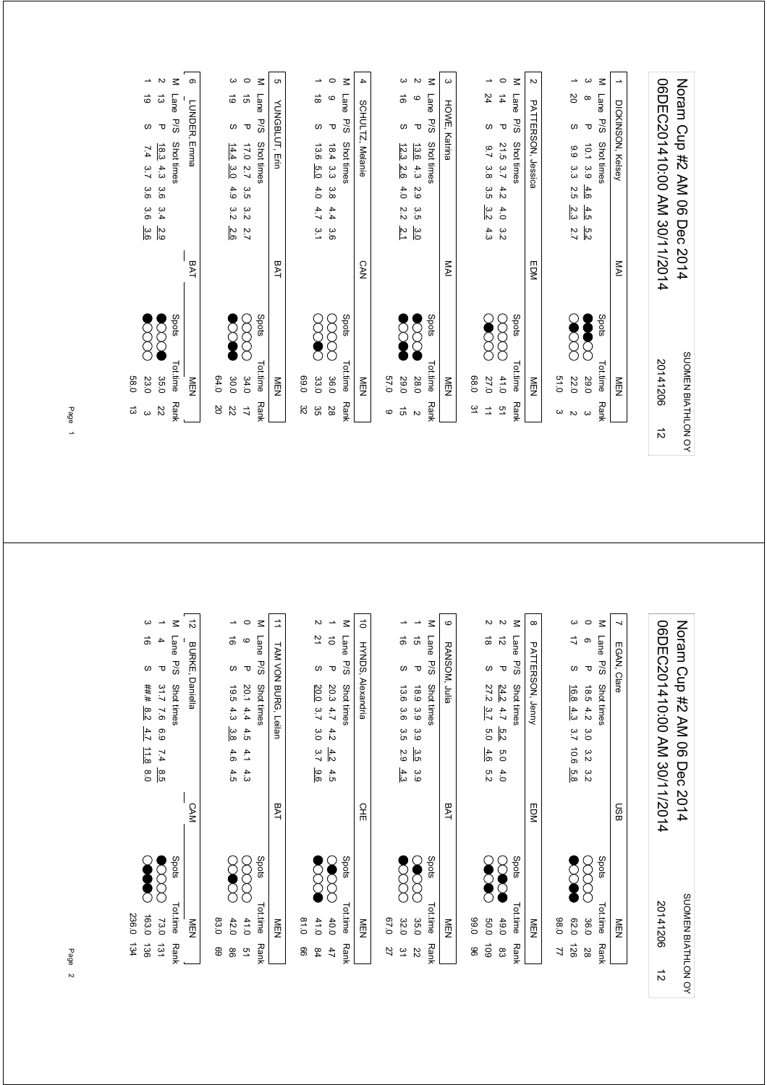|                    | ದ<br>$\omega$        | 0.85<br>23.0    |       |            | 3.6<br>3.6                   | 3.6 | 7.4<br>3.7               | ω                | 6                    | $\overline{\phantom{0}}$ |
|--------------------|----------------------|-----------------|-------|------------|------------------------------|-----|--------------------------|------------------|----------------------|--------------------------|
|                    | 22                   | 35.0            |       |            | 3.4<br>2.9                   | 3.6 | $\frac{18.3}{2}$<br>4.3  | ᠊ᠣ               | $\vec{\omega}$       | N                        |
|                    | Rank                 | Tot.time        | Spots |            |                              |     | Shot times               | P/S              | Lane                 | $\leq$                   |
|                    |                      | NEN             |       | BAT        |                              |     | Emma                     | LUNDER,          |                      | ၜ                        |
|                    | SO                   | 64.0            |       |            |                              |     |                          |                  |                      |                          |
|                    | 22                   | 30.0            |       |            | 3.2<br>2.6                   | 4.9 | 14.4<br>3.0              | w                | 6                    | ယ                        |
|                    | $\overrightarrow{L}$ | 34.0            |       |            | 3.2<br>2.7                   | 3.5 | 17.0<br>$\overline{2.7}$ | $\mathbf \sigma$ | $\vec{q}$            | $\circ$                  |
|                    | <b>Rank</b>          | Tot.time        | Spots |            |                              |     | Shot times               | <b>P/S</b>       | Lane                 | $\leq$                   |
|                    |                      | NEN<br>N        |       | BAT        |                              |     |                          | YUNGBLUT, Erin   |                      | c                        |
|                    | ಜ                    | 0.99            |       |            |                              |     |                          |                  |                      |                          |
|                    | ვs                   | 33.0            |       |            | 4.7<br>3.1                   | 4.0 | 13.6<br>6.0              | $\omega$         | ಹ                    | ∸                        |
|                    | 28                   | 36.0            |       |            | 4.4<br>3.6                   | 3.8 | 18.4<br>ပ္ပ              | $\mathbf \sigma$ | ဖ                    | $\circ$                  |
|                    | <b>Rank</b>          | Tot.time        | Spots |            |                              |     | Shot times               | P/S              | <b>Lane</b>          | $\leq$                   |
|                    |                      | $\frac{8}{2}$   |       | <b>CAN</b> |                              |     | <b>SCHULTZ, Melanie</b>  |                  |                      | 4                        |
|                    | $\circ$              | 0.75            |       |            |                              |     |                          |                  |                      |                          |
|                    | $\vec{5}$            | 0.62            |       |            | 2.2<br>$\frac{2}{3}$         | 4.0 | 12.3<br>2.6              | w                | ಕ                    | ယ                        |
|                    | $\mathbf{v}$         | 28.0            |       |            | 3.5<br>$\frac{3}{2}$         | 2.9 | 13.6<br>4.3              | $\mathbf \sigma$ | $\mathbf  \circ$     | N                        |
|                    | Rank                 | <b>Tot.time</b> | Spots |            |                              |     | Shot times               | P/S              | Lane                 | $\leq$                   |
|                    |                      | NEN             |       | MAI        |                              |     |                          | HOWE, Katrina    |                      | ω                        |
|                    | 51                   | 0.89            |       |            |                              |     |                          |                  |                      |                          |
|                    | $\overrightarrow{a}$ | 27.0            |       |            | 3.2<br>4.3                   | αs  | 6.7<br>3.8               | w                | 24                   | ∸                        |
|                    | 51                   | 41.0            |       |            | 4.0<br>3.2                   | 4.2 | 21.5<br>3.7              | $\mathbf \sigma$ | $\overrightarrow{4}$ | $\circ$                  |
|                    | <b>Rank</b>          | Tot.time        | Spots |            |                              |     | Shot times               | <b>P/S</b>       | Lane                 | $\leq$                   |
|                    |                      | NEN             |       | EDM        |                              |     | PATTERSON, Jessica       |                  |                      | N                        |
|                    | $\omega$             | 0.15            |       |            |                              |     |                          |                  |                      |                          |
|                    | $\mathbbmss{N}$      | 22.0            |       |            | 23<br>2.7                    | 2.5 | $6^{\circ}$<br>α<br>α    | ω                | <b>SO</b>            | $\overline{\phantom{0}}$ |
|                    | $\omega$             | 062             |       |            | $\frac{4.5}{2}$<br>5.2       | 4.6 | 10.1<br>3.9              | $\mathbf \tau$   | $\infty$             | ω                        |
|                    | <b>Rank</b>          | Tot.time        | Spots |            |                              |     | Shot times               | P/S              | Lane                 | $\leq$                   |
|                    |                      | $\frac{8}{2}$   |       | MAI        |                              |     | DICKINSON, Kelsey        |                  |                      | ∸                        |
|                    |                      |                 |       |            |                              |     |                          |                  |                      |                          |
| $\vec{v}$          |                      | 20141206        |       |            | 06DEC201410:00 AM 30/11/2014 |     |                          |                  |                      |                          |
| SUOMEN BIATHLON OY |                      |                 |       | 5014       | Dec                          |     | No Mp 42 AM 06           |                  |                      |                          |

| Spots<br>Tot.time<br>83.0<br>NEN<br><b>Rank</b><br>89 |                              | 8.5           | 6.9<br>7.4               | $\overline{2.6}$     | 31.7          | $\mathbf \sigma$      | 4                | $\overline{\phantom{a}}$ |
|-------------------------------------------------------|------------------------------|---------------|--------------------------|----------------------|---------------|-----------------------|------------------|--------------------------|
|                                                       |                              |               |                          | Shot times           |               | P/S                   | Lane             | $\leq$                   |
|                                                       | <b>CAM</b>                   |               |                          |                      | Daniella      | <b>BURKE,</b>         |                  | $\vec{v}$                |
| 42.0<br>8                                             |                              | 4.5           | 3.8<br>4.6               | 4.3                  | 19.5          | w                     | ಹ                | →                        |
| 41.0<br>51                                            |                              | 4.3           | 4.5<br>4.1               | 4.4                  | 20.1          | $\mathbf \sigma$      | $\mathbf  \circ$ | $\circ$                  |
| Spots<br>Tot.time<br><b>Rank</b>                      |                              |               |                          | Shot times           |               | <b>P/S</b>            | Lane             | $\leq$                   |
| NEN                                                   | <b>BAT</b>                   |               |                          | TAM VON BURG, Leilan |               |                       |                  | ⇉                        |
| 0.18<br>8                                             |                              |               |                          |                      |               |                       |                  |                          |
| 41.0<br>$^{84}$                                       |                              | 9.6           | 3.0<br>3.7               | 3.7                  | 20.0          | w                     | 21               | Z                        |
| 40.0<br>47                                            |                              | 4.5           | 4.2<br>4.2               | 4.7                  | 20.3          | $\mathbf \sigma$      | $\vec{o}$        | ∸                        |
| Spots<br>Tot.time<br><b>Rank</b>                      |                              |               |                          | Shot times           |               | P/S                   | Lane             | $\leq$                   |
| NEN                                                   | 옾                            |               |                          |                      | Alexandria    | <b>HYNDS,</b>         |                  | $\vec{0}$                |
| 0'29<br>32.0<br>27<br>$\tilde{z}$                     |                              | 4.3           | 3.5<br>2.9               | 3.6                  | 13.6          | $\omega$              | ಹ                | ∸                        |
| - 3<br>35.0<br>ZZ                                     |                              | ە<br>ۋ        | 3.9<br>3.5               | 3.9                  | 18.9          | $\mathbf \sigma$      | $\vec{q}$        | ∸                        |
| Spots<br>Tot.time<br><b>Rank</b>                      |                              |               |                          | <b>Shot times</b>    |               | P/S                   | Lane             | $\leq$                   |
| NEN                                                   | <b>BAT</b>                   |               |                          |                      | RANSOM, Julia |                       |                  | စ                        |
| 0'66<br>86                                            |                              |               |                          |                      |               |                       |                  |                          |
| 009<br>$\overline{60}$                                |                              | 5.2           | 5.O<br>4.6               | 3.7                  | 27.2          | $\omega$              | $\vec{0}$        | Z                        |
| 49.0<br>ထိ                                            |                              | 4.0           | $\frac{5}{2}$<br>0.5     | 4.7                  | 24.2          | $\mathbf \sigma$      | $\vec{v}$        | $\sim$                   |
| Spots<br>Tot.time<br>Rank                             |                              |               |                          | Shot times           |               | P/S                   | Lane             | $\leq$                   |
| NEN                                                   | EDM                          |               |                          | PATTERSON, Jenny     |               |                       |                  | $\infty$                 |
| 08.0<br>71                                            |                              |               |                          |                      |               |                       |                  |                          |
| 02.0<br>921                                           |                              | 5.8           | $\overline{2.7}$<br>10.6 | 4.3                  | 16.8          | w                     | ゴ                | ω                        |
| Spots<br>Tot.time<br>36.0<br><b>Rank</b><br>28        |                              | $\frac{8}{2}$ | ς<br>Ο<br>3.             | Shot times<br>4.2    | 18.5          | P/S<br>$\mathbf \tau$ | Lane<br>ၜ        | $\circ$<br>$\leq$        |
| NEN                                                   | <b>USB</b>                   |               |                          |                      |               | EGAN, Clare           |                  | ┙                        |
|                                                       |                              |               |                          |                      |               |                       |                  |                          |
| 20141206<br>$\vec{v}$                                 | D6DEC201410:00 AM 30/11/2014 |               |                          |                      |               |                       |                  |                          |
| SUOMEN BIATHLON OY                                    | 2014                         | Dec           | Noram Cup #2 AM 06       |                      |               |                       |                  |                          |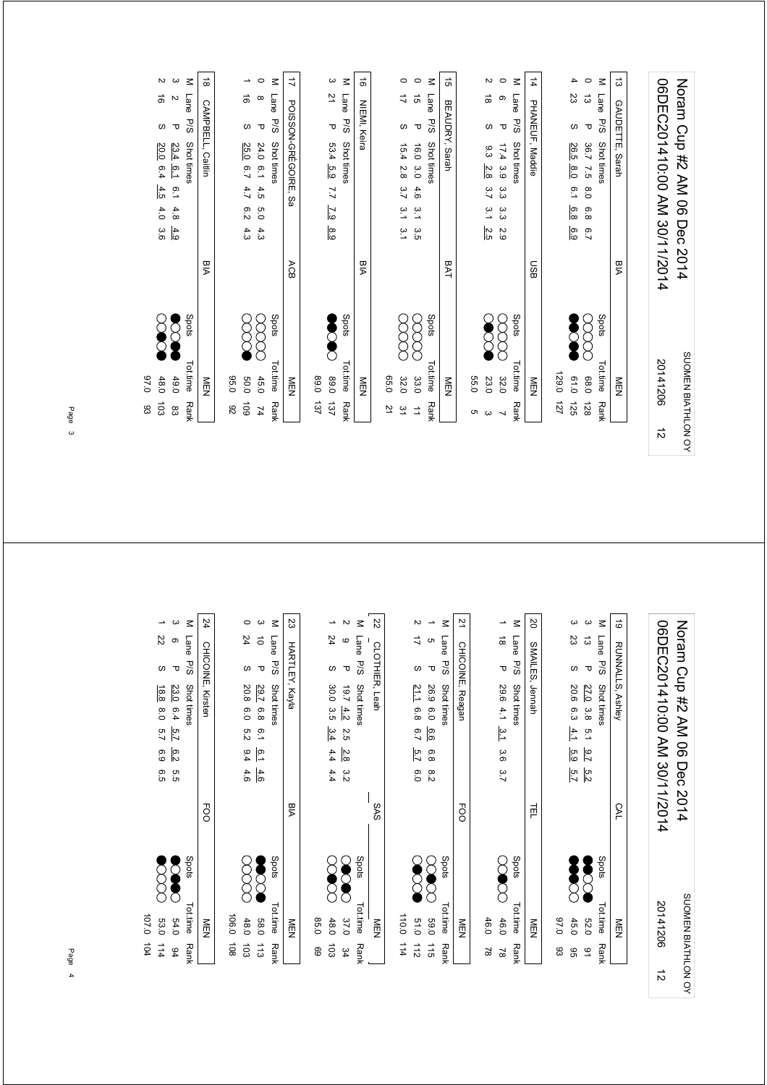|           | 103<br>83            | 0.76<br>48.0       |              |            | 20.0<br>6.4<br>4.5<br>4.0<br>3.6              | ಹ<br>ω                              | $\sim$    |
|-----------|----------------------|--------------------|--------------|------------|-----------------------------------------------|-------------------------------------|-----------|
|           | $^{\circ}_{\infty}$  | 49.0               |              |            | 23.4<br>6.1<br>$\overline{6.1}$<br>4.8<br>4.9 | Z<br>$\mathbf \sigma$               | ယ         |
|           | <b>Rank</b>          | Tot.time           | Spots        |            | Shot times                                    | Lane<br>5/9                         | $\leq$    |
|           |                      | <b>NEN</b>         |              | <b>BIA</b> | CAMPBELL, Caitlin                             |                                     | $\vec{8}$ |
|           | $8^{\circ}$          | 0.56               |              |            |                                               |                                     |           |
|           | 601                  | 009                |              |            | 25.0<br>6.7<br>4.7<br>6.2<br>4.3              | ಹ<br>$\omega$                       | ∸         |
|           | $\overline{1}$       | 45.0               |              |            | 24.0<br>$^{0.1}$<br>4.5<br>0.5<br>4.3         | $\infty$<br>$\mathbf{\overline{U}}$ | $\circ$   |
|           | <b>Rank</b>          | Tot.time           | Spots        |            | Shot times                                    | Lane<br><b>P/S</b>                  | $\leq$    |
|           |                      | NEN                |              | ACB        | POISSON-GRÉGOIRE,<br>δa                       |                                     | ゴ         |
|           | 137                  | 0.08               |              |            |                                               |                                     |           |
|           | 137                  | 0'68               |              |            | 53.4<br>5.9<br>7.7<br>7.9<br>8.9              | 21<br>Δ                             | ယ         |
|           | <b>Rank</b>          | Tot.time           | Spots        |            | Shot times                                    | <b>Lane</b><br><b>P/S</b>           | $\leq$    |
|           |                      | NEN                |              | <b>AIA</b> |                                               | NIEMI, Keira                        | ಹೆ        |
|           | 으                    | 0.50               |              |            |                                               |                                     |           |
|           | 51                   | 32.0               |              |            | 15.4<br>2.8<br>3.7<br>$\tilde{5}$<br>3.1      | ゴ<br>$\omega$                       | $\circ$   |
|           | $\overrightarrow{a}$ | 33.0               |              |            | 0.91<br>3.0<br>4.6<br>5.1<br>3.5              | ិ ត<br>$\mathbf \sigma$             | $\circ$   |
|           | <b>Rank</b>          | Tot.time           | Spots        |            | Shot times                                    | Lane<br><b>P/S</b>                  | $\leq$    |
|           |                      | NEN                |              | BAT        | BEAUDRY, Sarah                                |                                     | đ,        |
|           | cл                   | 55.0               |              |            |                                               |                                     |           |
|           | ω                    | 23.0               |              |            | 9.3<br>2.8<br>3.7<br>$\frac{3}{1}$<br>2.5     | ಹ<br>ω                              | И         |
|           | ┙                    | 32.0               |              |            | 17.4<br>3.9<br>ده<br>دن<br>α<br>ვ<br>2.9      | ၜ<br>Δ                              | $\circ$   |
|           | <b>Rank</b>          | Tot.time           | Spots        |            | Shot times                                    | Lane<br><b>P/S</b>                  | $\leq$    |
|           |                      | <b>MEN</b>         |              | <b>USB</b> | PHANEUF, Maddie                               |                                     | $\vec{4}$ |
|           | 127                  | 129.0              |              |            |                                               |                                     |           |
|           | 125                  | 0.10               |              |            | 26.5<br>$\overline{0.8}$<br>6.1<br>6.8<br>6.9 | S2<br>$\omega$                      | 4         |
|           | 128                  | 0.86               | $\succ$<br>Γ |            | 36.7<br>7.5<br>$\overline{0}$<br>6.8<br>2.7   | ದ<br>$\mathbf \tau$                 | $\circ$   |
|           | <b>Rank</b>          | Tot.time           | Spots        |            | Shot times                                    | Lane<br><b>P/S</b>                  | $\leq$    |
|           |                      | NEN<br>N           |              | <b>BIA</b> | Sarah                                         | GAUDETTE,                           | ದ         |
|           |                      |                    |              |            |                                               |                                     |           |
| $\vec{v}$ |                      | 20141206           |              |            | 06DEC201410:00 AM 30/11/2014                  |                                     |           |
|           |                      | SUOMEN BIATHLON OY |              |            | Norm Cup #2 AM 06 Dec 2014                    |                                     |           |

|                    | 104<br>114     | 0.707.0<br>53.0 |       |                              | 6.5           | 6.9              | 5.7           | 18.8<br>$\overline{0.0}$ | $\omega$              | 22                                     | ∸                        |
|--------------------|----------------|-----------------|-------|------------------------------|---------------|------------------|---------------|--------------------------|-----------------------|----------------------------------------|--------------------------|
|                    | 94             | 54.0            |       |                              | G.5           | 6.2              |               | 23.0 6.4 5.7             | $\mathbf \sigma$      | $\circ$                                | ယ                        |
|                    | <b>Rank</b>    | Tot.time        | Spots |                              |               |                  |               | Shot times               | P/S                   | Lane                                   | $\leq$                   |
|                    |                | NEN             |       | <b>EOO</b>                   |               |                  |               | CHICOINE, Kirsten        |                       |                                        | 24                       |
|                    | $\overline{5}$ | 106.0           |       |                              |               |                  |               |                          |                       |                                        |                          |
|                    | $\overline{5}$ | 48.0            |       |                              | 4.6           | 6.4              | 5.2           | 20.8<br>0.9              | $\omega$              | 24                                     | 0                        |
|                    | $\frac{1}{2}$  | 089             |       |                              | 4.6           | $\overline{6.1}$ | $^{0.1}$      | <b>29.7</b><br>6.8       | $\mathbf \sigma$      | $\vec{0}$                              | ယ                        |
|                    | Rank           | Tot.time        | Spots |                              |               |                  |               | Shot times               | 5/5                   | Lane                                   | $\leq$                   |
|                    |                | NEN             |       | PIA                          |               |                  |               |                          | <b>HARTLEY, Kayla</b> |                                        | ಜ                        |
|                    | 69             | 85.0            |       |                              |               |                  |               |                          |                       |                                        |                          |
|                    | 103            | 48.0            |       |                              | 4.4           | 4.4              | 3.4           | 30.0<br>α<br>α           | w                     | 24                                     | $\overline{\phantom{a}}$ |
|                    | 34             | 37.0            |       |                              | 3.2           | 2.8              | 2.5           | $19.7 \, 4.2$            | τ                     | $\mathbf{\circ}$                       | $\sim$                   |
|                    | Rank           | Tot.time        | Spots |                              |               |                  |               | Shot times               | <b>P/S</b>            | Lane                                   | $\leq$                   |
|                    |                | NEN             |       | SAS                          |               |                  |               |                          | CLOTHIER, Leah        |                                        | 22                       |
|                    | 114            | 110.0           |       |                              |               |                  |               |                          |                       |                                        |                          |
|                    | $\frac{1}{2}$  | 019             |       |                              | 0.0           | 5.7              | 6.7           | 21.1<br>6.8              | လ                     | ゴ                                      | Z                        |
|                    | 115            | 0'69            |       |                              | $\frac{8}{2}$ | 6.8              | 6.6           | 26.9<br>0.0              | $\mathbf \sigma$      | c                                      | $\overline{\phantom{a}}$ |
|                    | <b>Rank</b>    | Tot.time        | Spots |                              |               |                  |               | Shot times               | 5/5                   | Lane                                   | $\leq$                   |
|                    |                | <b>MEN</b>      |       | EOO                          |               |                  |               | CHICOINE, Reagan         |                       |                                        | 21                       |
|                    | $\approx$      | 46.0            |       |                              |               |                  |               |                          |                       |                                        |                          |
|                    | $\approx$      | 46.0            |       |                              | 3.7           | 3.6              | $\frac{3}{4}$ | 29.6<br>4.1              | τ                     | $\stackrel{\rightharpoonup }{\infty }$ | ∸                        |
|                    | Rank           | Tot.time        | Spots |                              |               |                  |               | Shot times               | 5/5                   | Lane                                   | Μ                        |
|                    |                | NEN             |       | 戸                            |               |                  |               | Jennah                   | <b>SMAILES</b>        |                                        | <b>S</b>                 |
|                    | ස              | 0.76            |       |                              |               |                  |               |                          |                       |                                        |                          |
|                    | 95             | 45.0            |       |                              | 5.7           | 5.9              | 4.1           | 20.6<br>6.3              | ω                     | 23                                     | ယ                        |
|                    | 51             | 032             |       |                              | 5.2           | $\frac{6}{7}$    | r.a           | 27.0<br>3.8              | $\mathbf \tau$        | ದ                                      | دى                       |
|                    | Rank           | Tot.time        | Spots |                              |               |                  |               | Shot times               | P/S                   | Lane                                   | $\leq$                   |
|                    |                | NEN             |       | CAL                          |               |                  |               | RUNNALLS, Ashley         |                       |                                        | ಠ                        |
|                    |                |                 |       |                              |               |                  |               |                          |                       |                                        |                          |
| $\vec{v}$          |                | 20141206        |       | D6DEC201410:00 AM 30/11/2014 |               |                  |               |                          |                       |                                        |                          |
| SUOMEN BIATHLON OY |                |                 |       |                              | Dec 2014      |                  |               | Noram Cup #2 AM 06       |                       |                                        |                          |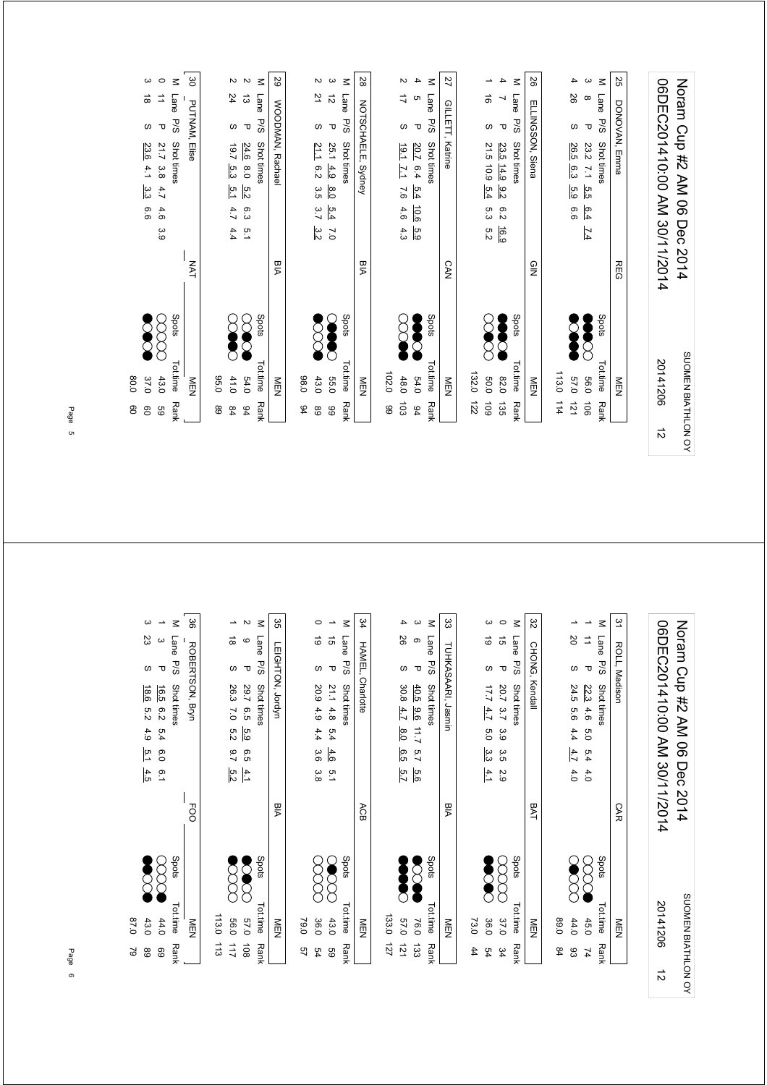|           | 8<br><b>eo</b> | 0.08<br>37.0       |       |                              |                  | 9.9           | သ္ပ              | 23.6<br>4.1                        | w                  | $\stackrel{\rightharpoonup }{\circ}$ | ယ       |
|-----------|----------------|--------------------|-------|------------------------------|------------------|---------------|------------------|------------------------------------|--------------------|--------------------------------------|---------|
|           | GS             | 43.0               |       |                              | α.<br>Θ          | 4.6           | 4.7              | 21.7<br>3.8                        | $\mathbf \tau$     | ⇉                                    | $\circ$ |
|           | <b>Rank</b>    | <b>Tot.time</b>    | Spots |                              |                  |               |                  | Shot times                         | Lane<br><b>P/S</b> |                                      | $\leq$  |
|           |                | NEN                |       | <b>NAT</b>                   |                  |               |                  | Elise                              | PUTNAM,            |                                      | မ္မ     |
|           | 89             | 0.56               |       |                              |                  |               |                  |                                    |                    |                                      |         |
|           | $^{94}$        | 41.0               |       |                              | 4.4              | 4.7           | 5.1              | $\overline{19.7}$<br>5.3           | w                  | 24                                   | Z       |
|           | $\frac{6}{4}$  | 54.0               |       |                              | $\frac{1}{2}$    | 6.3           | $\frac{5}{2}$    | 24.6<br>$\overline{0.8}$           | $\mathbf \sigma$   | ದ                                    | $\sim$  |
|           | <b>Rank</b>    | <b>Tot time</b>    | Spots |                              |                  |               |                  | Shot times                         | Lane<br><b>P/S</b> |                                      | $\leq$  |
|           |                | NEN                |       | <b>BIA</b>                   |                  |               |                  | WOODMAN, Rachael                   |                    |                                      | 29      |
|           | 94             | 0.89               |       |                              |                  |               |                  |                                    |                    |                                      |         |
|           | $^{\circ}$     | 43.0               |       |                              | 3.2              | 3.7           | 3.5              | 21.1<br>6.2                        | လ                  | 21                                   | Z       |
|           | 66             | 55.0               |       |                              | $\overline{0}$   | 5.4           | $\overline{6.0}$ | 25.1<br>$\frac{4.9}{2}$            | $\mathbf \tau$     | $\vec{\mathcal{D}}$                  | ပ       |
|           | <b>Rank</b>    | Tot.time           | Spots |                              |                  |               |                  | Shot times                         | Lane<br><b>P/S</b> |                                      | $\leq$  |
|           |                | <b>NEN</b>         |       | BIA                          |                  |               |                  | NOTSCHAELE, Sydney                 |                    |                                      | 28      |
|           | 8              | 102.0              |       |                              |                  |               |                  |                                    |                    |                                      |         |
|           | 103            | 48.0               |       |                              | 4.3              | 4.6           | $\overline{9}$   | $\frac{19.1}{2}$<br>$\overline{L}$ | w                  | ゴ                                    | N       |
|           | 94             | 64.0               |       |                              | 6.9              | 10.6          | 5.4              | 20.7<br>6.4                        | $\mathbf \sigma$   | G                                    | 4       |
|           | Rank           | <b>Tot.time</b>    | Spots |                              |                  |               |                  | Shot times                         | Lane<br>P/S        |                                      | $\leq$  |
|           |                | NEN                |       | <b>CAN</b>                   |                  |               |                  | Katrine                            | GILLETT,           |                                      | 27      |
|           | 122            | 132.0              |       |                              |                  |               |                  |                                    |                    |                                      |         |
|           | 601            | 0.03               |       |                              | 5.2              | ς ვ           | 5.4              | 21.5 10.9                          | $\omega$           | $\vec{0}$                            | ∸       |
|           | 135            | 0320               |       |                              | 6.91             | $\frac{6}{2}$ | 8.2              | 23.5 14.9                          | $\mathbf \sigma$   | ↘                                    | 4       |
|           | Rank           | <b>Tot.time</b>    | Spots |                              |                  |               |                  | Shot times                         | Lane<br><b>P/S</b> |                                      | $\leq$  |
|           |                | <b>MEN</b>         |       | $\frac{1}{2}$                |                  |               |                  | ELLINGSON, Siena                   |                    |                                      | 56      |
|           | 114            | 113.0              |       |                              |                  |               |                  |                                    |                    |                                      |         |
|           | 121            | 0'/9               |       |                              |                  | 6.6           | 5.9              | 26.5<br>6.3                        | $\omega$           | 26                                   | 4       |
|           | $\overline{5}$ | 56.0               |       |                              | $\overline{7.4}$ | 6.4           | 5.5              | 23.2<br>$\overline{2}$             | $\mathbf \tau$     | $\infty$                             | ယ       |
|           | Rank           | Tot.time           | Spots |                              |                  |               |                  | Shot times                         | Lane<br>P/S        |                                      | $\leq$  |
|           |                | NEN                |       | <b>REG</b>                   |                  |               |                  | Emma                               | DONOVAN,           |                                      | 25      |
|           |                |                    |       |                              |                  |               |                  |                                    |                    |                                      |         |
| $\vec{v}$ |                | 20141206           |       | 06DEC201410:00 AM 30/11/2014 |                  |               |                  |                                    |                    |                                      |         |
|           |                | SUOMEN BIATHLON OY |       |                              | <b>Dec 2014</b>  |               |                  | No MA 540 Cup #2 AM 06             |                    |                                      |         |

| 2<br>89            | 43.0<br>0.78 |       |                              | 4.5               | Σ.       | 4.9             | 18.6<br>5.2        | w              | 23        | ω                        |
|--------------------|--------------|-------|------------------------------|-------------------|----------|-----------------|--------------------|----------------|-----------|--------------------------|
| 89                 | 44.0         |       |                              | $\overline{0}$ .1 | 0.9      | 5.4             | 16.5<br>6.2        | $\mathbf \tau$ | ယ         | $\overline{\phantom{a}}$ |
| <b>Rank</b>        | Tot.time     | Spots |                              |                   |          |                 | Shot times         | P/S            | Lane      | $\leq$                   |
|                    | NEN          |       | <b>FOO</b>                   |                   |          |                 | ROBERTSON, Bryn    |                |           | မ္တ                      |
| 113                | 113.0        |       |                              |                   |          |                 |                    |                |           |                          |
| 211                | 0.99         |       |                              | 5.2               | $^{2.7}$ | 5.2             | 26.3<br>$\sim 0$   | w              | $\vec{a}$ | $\overline{\phantom{0}}$ |
| $\overline{108}$   | 025          |       |                              | $\frac{4}{1}$     | 9.5      | 5.9             | 29.7<br>G.5        | τ              | ဖ         | Z                        |
| <b>Rank</b>        | Tot.time     | Spots |                              |                   |          |                 | Shot times         | P/S            | Lane      | $\leq$                   |
|                    | NEN          |       | <b>BIA</b>                   |                   |          |                 | LEIGHTON, Jordyn   |                |           | 35                       |
| 57                 | 79.0         |       |                              |                   |          |                 |                    |                |           |                          |
| 54                 | 36.0         |       |                              | 3.8               | 3.6      | 4.4             | 20.9<br>4.9        | $\omega$       | 6         | $\circ$                  |
| 8g                 | 43.0         |       |                              | $\overline{5}$ .  | 4.6      | 5.4             | 21.1<br>4.8        | ᠊ᠣ             | $\vec{q}$ | $\overline{\phantom{a}}$ |
| <b>Rank</b>        | Tot.time     | Spots |                              |                   |          |                 | Shot times         | <b>P/S</b>     | Lane      | $\leq$                   |
|                    | NEN          |       | ACB                          |                   |          |                 | Charlotte          | HAMEL,         |           | 34                       |
| 121                | 133.0        |       |                              |                   |          |                 |                    |                |           |                          |
| $\overline{21}$    | 0'/9         |       |                              | 5.7               | 6.5      | $\frac{8.0}{6}$ | 30.8<br>4.7        | $\omega$       | 92        | 4                        |
| $\overline{33}$    | 76.0         |       |                              | 9.6               | 5.7      | $\overline{2}$  | 40.5<br>0.6        | τ              | ၜ         | ω                        |
| <b>Rank</b>        | Tot.time     | Spots |                              |                   |          |                 | Shot times         | P/S            | Lane      | $\leq$                   |
|                    | NEN          |       | PIA                          |                   |          |                 | TUHKASAARI, Jasmin |                |           | జ                        |
| 44                 | 73.0         |       |                              |                   |          |                 |                    |                |           |                          |
| 54                 | 36.0         |       |                              | 4.1               | သ္ပ      | 6.0             | 1.77<br>4.7        | $\omega$       | 6         | ω                        |
| 34                 | 37.0         |       |                              | 2.9               | α.<br>Β  | 3.9             | 20.7<br>3.7        | Δ              | $\vec{g}$ | $\circ$                  |
| <b>Rank</b>        | Tot.time     | Spots |                              |                   |          |                 | Shot times         | <b>P/S</b>     | Lane      | $\leq$                   |
|                    | NEN          |       | <b>BAT</b>                   |                   |          |                 |                    | CHONG, Kendall |           | ಜ                        |
| 84                 | 0'68         |       |                              |                   |          |                 |                    |                |           |                          |
| 83                 | 44.0         |       |                              | 4.0               | 4.7      | 4.4             | 24.5<br>95         | $\omega$       | <b>ZO</b> | ∸                        |
| 74                 | 45.0         |       |                              | 4.0               | 5.4      | 0.0             | <b>22.3</b><br>4.6 | $\mathbf \tau$ | $\vec{=}$ | ∸                        |
| Rank               | Tot.time     | Spots |                              |                   |          |                 | Shot times         | P/S            | Lane      | $\leq$                   |
|                    | NEN          |       | САR                          |                   |          |                 |                    | ROLL, Madison  |           | 51                       |
|                    |              |       |                              |                   |          |                 |                    |                |           |                          |
| $\vec{v}$          | 20141206     |       | 06DEC201410:00 AM 30/11/2014 |                   |          |                 |                    |                |           |                          |
| SUOMEN BIATHLON OY |              |       | 2014                         | Dec               |          |                 | Nomm Cup #2 AM 06  |                |           |                          |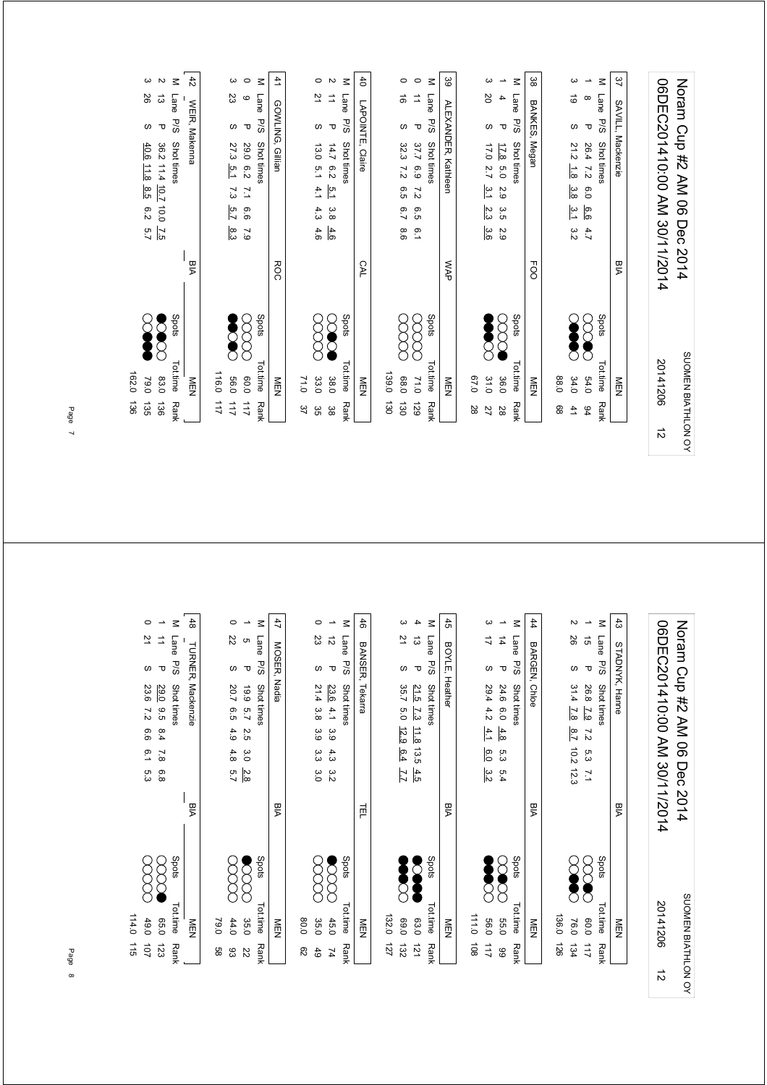| 162.0<br>83.0<br>79.0<br>136<br>135<br>136 |            | 26<br>ದ<br>Lane<br>$\mathbf \sigma$<br>S<br>40.6<br>36.2 11.4 10.7 10.0<br>$\frac{11.8}{2}$<br>8.5<br>6.2<br>$\overline{25}$<br>5.7 | ယ<br>$\sim$              |
|--------------------------------------------|------------|-------------------------------------------------------------------------------------------------------------------------------------|--------------------------|
| Spots<br>Tot.time<br>NEN<br><b>Rank</b>    | <b>BIA</b> | WEIR, Makenna<br><b>P/S</b><br>Shot times                                                                                           | $\ddot{4}$<br>$\leq$     |
| 116.0<br>111                               |            |                                                                                                                                     |                          |
| 0.95<br>211                                |            | 23<br>$\omega$<br>27.3<br>$\overline{5.1}$<br>7.3<br>5.7<br>စ်<br>၁                                                                 | ω                        |
| 0.06<br>211                                |            | $\circ$<br>$\mathbf \sigma$<br><b>29.0</b><br>6.2<br>$\mathbf{r}$<br>9.6<br>6'1                                                     | $\circ$                  |
| Spots<br>Tot.time<br><b>Rank</b>           |            | Lane<br>P/S<br><b>Shot times</b>                                                                                                    | $\leq$                   |
| NEN                                        | <b>ROC</b> | GOWLING, Gillian                                                                                                                    | 41                       |
| 71.0<br>37                                 |            |                                                                                                                                     |                          |
| 33.0<br>ვg                                 |            | 21<br>$\omega$<br>13.0<br>5.1<br>4.1<br>4.3<br>4.6                                                                                  | $\circ$                  |
| 38.0<br>မ္ထ                                |            | ⇉<br>$\mathbf \sigma$<br>14.7<br>6.2<br>$\overline{5.1}$<br>3.8<br>4.6                                                              | $\sim$                   |
| Spots<br>Tot.time<br><b>Rank</b>           |            | Lane<br>P/5<br>Shot times                                                                                                           | $\leq$                   |
| <b>MEN</b>                                 | CAL        | LAPOINTE, Claire                                                                                                                    | đ                        |
| 139.0<br>130                               |            |                                                                                                                                     |                          |
| 0.89<br>130                                |            | ಹ<br>$\omega$<br>32.3<br>7.2<br>6.5<br>6.7<br>6.6                                                                                   | O                        |
| 71.0<br>621                                |            | ⇉<br>$\mathbf \sigma$<br>37.7<br>6.9<br>$\overline{z}$<br>6.5<br>$\overline{0}$ .1                                                  | $\circ$                  |
| Spots<br>Tot.time<br><b>Rank</b>           |            | Lane<br>5/5<br>Shot times                                                                                                           | $\leq$                   |
| NEN                                        | <b>NAP</b> | <b>ALEXANDER,</b><br>Kathleen                                                                                                       | 39                       |
| 0.70<br>28                                 |            |                                                                                                                                     |                          |
| 31.0<br>27                                 |            | <b>SO</b><br>w<br>17.0<br>2.7<br>م<br>حا<br>2.3<br>ပ္ပံ                                                                             | ယ                        |
| 36.0<br>28                                 |            | 4<br>$\mathbf \sigma$<br>17.8<br>6.0<br>2.9<br>ά<br>2.9                                                                             | $\overline{\phantom{a}}$ |
| Spots<br>Tot.time<br>Rank                  |            | Lane<br>P/S<br>Shot times                                                                                                           | $\leq$                   |
| <b>MEN</b>                                 | FOO        | BANKES,<br>Megan                                                                                                                    | အ                        |
| 0.88<br>88                                 |            |                                                                                                                                     |                          |
| 34.0<br>41                                 |            | ಠ<br>w<br>21.2<br>$\frac{1}{8}$<br>3.8<br>ى<br>خا<br>3.2                                                                            | ω                        |
| 54.0<br>94                                 |            | $\infty$<br>$\mathbf \tau$<br>56.4<br>$\overline{2}$<br>0.0<br>6.6<br>4.7                                                           | $\overline{\phantom{a}}$ |
| Spots<br>Tot.time<br>Rank                  |            | Lane<br>P/S<br>Shot times                                                                                                           | $\leq$                   |
| NEN                                        | <b>BIA</b> | SAVILL,<br>Mackenzie                                                                                                                | 37                       |
|                                            |            |                                                                                                                                     |                          |
| 20141206<br>$\vec{v}$                      |            | 06DEC201410:00 AM 30/11/2014                                                                                                        |                          |
| SUOMEN BIATHLON OY                         |            | Noran Cup #2 AM 06 Dec 2014                                                                                                         |                          |

| 114.0<br>49.0<br>115<br>101      |      | 9.9<br>6.1<br>5.3                     | 23.6<br>$\overline{z}$   | w                     | 으                      | $\circ$                  |
|----------------------------------|------|---------------------------------------|--------------------------|-----------------------|------------------------|--------------------------|
| 0.50<br>123                      |      | 8.4<br>$\overline{7.8}$<br>6.8        | 29.0<br>9.5              | τ                     | $\Rightarrow$          | $\overline{\phantom{a}}$ |
| Spots<br>Tot.time<br><b>Rank</b> |      |                                       | Shot times               | <b>Lane</b><br>P/S    |                        | $\leq$                   |
| NEN                              | PIA  |                                       | Mackenzie                | <b>TURNER,</b>        |                        | 48                       |
|                                  |      |                                       |                          |                       |                        |                          |
| 79.0<br>88                       |      |                                       |                          |                       |                        |                          |
| 44.0<br>ස                        |      | 4.9<br>4.8<br>5.7                     | 20.7<br>G.5              | w                     | 22                     | 0                        |
| 35.0<br>ZZ                       |      | 2.5<br>ვ.<br>Ο<br>$\frac{2.8}{8}$     | 661<br>5.7               | τ                     | G                      | $\overline{\phantom{a}}$ |
| Spots<br>Tot.time<br>Rank        |      |                                       | Shot times               | Lane<br>P/S           |                        | $\leq$                   |
| NEN                              | ЫA   |                                       | Nadia                    | MOSER,                |                        | 47                       |
| 0.08<br>$\mathcal{S}^2$          |      |                                       |                          |                       |                        |                          |
| 35.0<br>49                       |      | 3.9<br>α<br>ვ<br>3.0                  | 21.4<br>3.8              | လ                     | 23                     | 0                        |
| 45.0<br>74                       |      | 3.9<br>4.3<br>$\frac{8}{2}$           | 23.6<br>4.1              | τ                     | $\vec{\tilde{\omega}}$ | $\overline{\phantom{a}}$ |
| Spots<br>Tot.time<br><b>Rank</b> |      |                                       | Shot times               | Lane<br>P/S           |                        | $\leq$                   |
| NEN                              | 声    |                                       | Tekarra                  | BANSER,               |                        | 46                       |
| 132.0<br>127                     |      |                                       |                          |                       |                        |                          |
| 069<br>132                       |      | 12.9<br>6.4<br>$\overline{11}$        | 35.7<br>5.0              | $\omega$              | 21                     | ω                        |
| 63.0<br>$\overline{21}$          |      | 11.8<br>13.5<br>4.5                   | 21.5<br>$\frac{7}{3}$    | $\mathbf \sigma$      | ದ                      | 4                        |
| Spots<br>Tot.time<br><b>Rank</b> |      |                                       | Shot times               | Lane<br><b>P/S</b>    |                        | $\leq$                   |
| NEN                              | Мa   |                                       |                          | <b>BOYLE, Heather</b> |                        | 45                       |
| 1110<br>$\overline{5}$           |      |                                       |                          |                       |                        |                          |
| 0'99<br>211                      |      | 4.1<br>6.0<br>3.2                     | 29.444.2                 | $\omega$              | ゴ                      | ω                        |
| 039<br>66                        |      | 4.8<br>ς.<br>ვ<br>5.4                 | 24.6 6.0                 | Δ                     | $\overrightarrow{4}$   | ∸                        |
| Spots<br>Tot.time<br><b>Rank</b> |      |                                       | Shot times               | Lane<br>P/S           |                        | $\leq$                   |
| NEN                              | PIA  |                                       |                          | BARGEN, Chloe         |                        | 44                       |
| 136.0<br>921                     |      |                                       |                          |                       |                        |                          |
| 76.0<br>134                      |      | $\frac{8}{7}$<br>10.2 12.3            | 31.4<br>$\overline{7.8}$ | $\omega$              | 92                     | N                        |
| С<br>0.06<br>211                 |      | $\overline{z}$<br>5.3<br>$\mathbf{L}$ | 26.8<br>$\overline{2.9}$ | $\mathbf \sigma$      | $\vec{q}$              | $\overline{\phantom{a}}$ |
| Spots<br>Tot.time<br>Rank        |      |                                       | Shot times               | Lane<br><b>P/S</b>    |                        | $\leq$                   |
| NEN                              | PIA  |                                       |                          | STADNYK, Hanne        |                        | 33                       |
|                                  |      |                                       |                          |                       |                        |                          |
| 20141206<br>$\vec{v}$            |      | 06DEC201410:00 AM 30/11/2014          |                          |                       |                        |                          |
| SUOMEN BIATHLON OY               | 2014 | Dec                                   | Noram Cup #2 AM 06       |                       |                        |                          |
|                                  |      |                                       |                          |                       |                        |                          |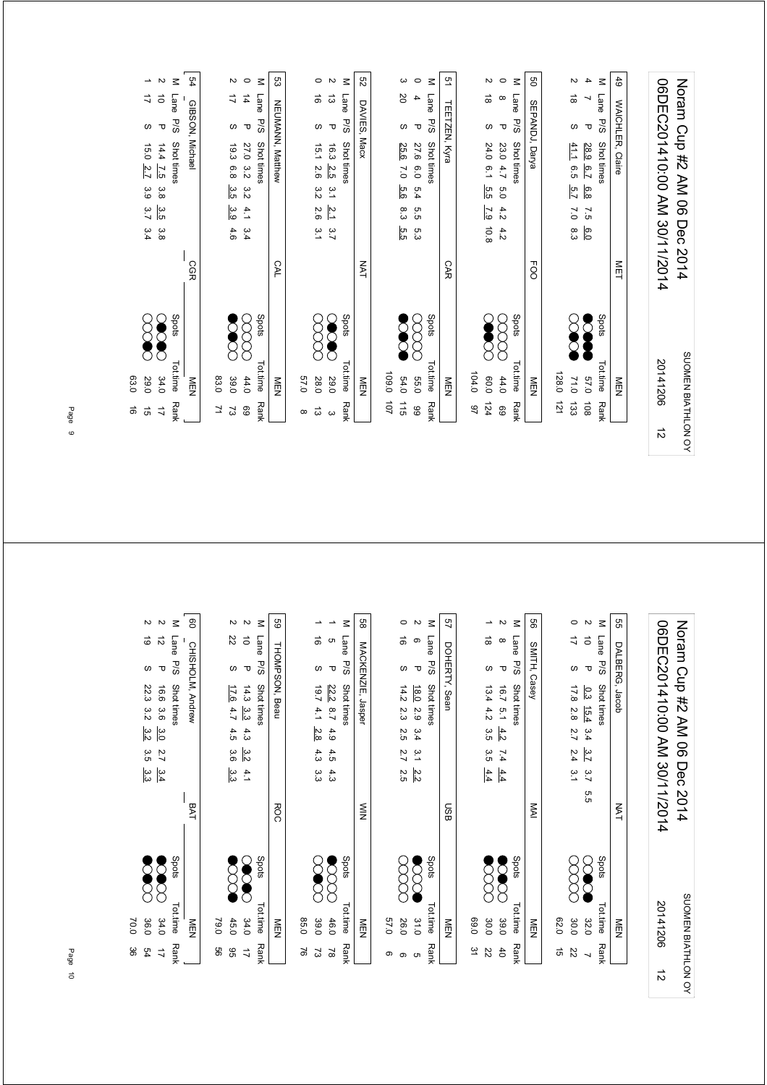| Noran Cup #2 AM 06 Dec 2014                                                           |            |                          | SUOMEN BIATHLON OY   |
|---------------------------------------------------------------------------------------|------------|--------------------------|----------------------|
| 06DEC201410:00 AM 30/11/2014                                                          |            | 20141206                 | $\vec{v}$            |
| 6 <sup>4</sup><br><b>WAICHLER, Claire</b>                                             | <b>NET</b> | NEN                      |                      |
| $\leq$<br>Lane<br>P/S<br>Shot times                                                   |            | Spots<br>Tot.time        | Rank                 |
| 4<br>┙<br>$\mathbf \sigma$<br>28.9<br>6.7<br>6.8<br>52<br>6.0                         |            | 0'/9                     | 108                  |
| $\sim$<br>$\vec{\infty}$<br>$\omega$<br>41.1<br>9.5<br>5.7<br>$\overline{C}$<br>8.3   |            | 71.0                     | 133                  |
|                                                                                       |            | 128.0                    | 121                  |
| g<br><b>SEPANDJ, Darya</b>                                                            | FOO        | <b>MEN</b>               |                      |
| $\leq$<br>Lane<br>P/S<br>Shot times                                                   |            | Spots<br>Tot.time        | Rank                 |
| $\circ$<br>$\infty$<br>᠊ᠣ<br>23.0<br>4.7<br>Ο.<br>Ο<br>4.2<br>4.2                     |            | 44.0                     | 69                   |
| И<br>$\vec{\infty}$<br>w<br>24.0<br>6.1<br>5.5<br>$\overline{2}$<br>$10.8$            |            | 104.0<br>0.09            | 124<br>97            |
| ā,<br>TEETZEN, Kyra                                                                   | <b>CAR</b> | M<br>D<br>N              |                      |
| $\leq$<br>Lane<br><b>P/S</b><br>Shot times                                            |            | Spots<br><b>Tot.time</b> | Rank                 |
| $\circ$<br>4<br>$\mathbf \sigma$<br>27.6<br>0.0<br>5.4<br>5.5<br>ς.<br>ვ              |            | Σ,<br><b>55.0</b>        | 66                   |
| က<br>SO<br>$\omega$<br>25.6<br>$\overline{0}$<br>9.6<br>8.3<br>ςā                     |            | 109.0<br>54.0            | 101<br>115           |
|                                                                                       |            |                          |                      |
| R <sub>3</sub><br>DAVIES, Macx                                                        | NAT        | <b>MEN</b>               |                      |
| $\leq$<br>Lane<br>P/S<br>Shot times                                                   |            | Spots<br>Tot.time        | Rank                 |
| $\sim$<br>ದ<br>Δ<br>16.3 2.5<br>$\tilde{5}$<br>$\frac{2}{3}$<br>$\frac{3}{7}$         |            | 29.0                     | $\omega$             |
| $\circ$<br>ಹ<br>w<br>15.1<br>2.6<br>3.2<br>2.6<br>$\tilde{5}$                         |            | 28.0                     | $\vec{\omega}$       |
|                                                                                       |            | 0'29                     | $\infty$             |
| ပ္လာ<br>NEUMANN, Matthew                                                              | <b>CAL</b> | NEN                      |                      |
| $\leq$<br>Lane<br>P/S<br>Shot times                                                   |            | Spots<br>Tot.time        | Rank                 |
| $\circ$<br>$\frac{1}{4}$<br>τ<br>27.0<br>3.2<br>3.2<br>4.1<br>3.4                     |            | 44.0                     | 69                   |
| Z<br>ゴ<br>ဖ<br>6.3<br>6.8<br>3.5<br>م.<br>و<br>4.6                                    |            | 39.0                     | 2                    |
|                                                                                       |            | 03.0                     | 7                    |
| 54<br>GIBSON, Michael                                                                 | CGR        | NEN                      |                      |
| $\leq$<br>Lane<br><b>P/S</b><br>Shot times                                            |            | Spots<br>Tot.time        | <b>Rank</b>          |
| $\overline{c}$<br>$\vec{\circ}$<br>$\mathbf \tau$<br>14.4<br>7.5<br>3.8<br>ပ္ပ<br>3.8 |            | 34.0                     | $\overrightarrow{L}$ |
| ∸<br>ゴ<br>ဖ<br>15.0<br>2.7<br>3.9<br>3.7<br>3.4                                       |            | 0'67                     | $\vec{q}$            |
|                                                                                       |            | 63.0                     | $\vec{a}$            |

| 8<br>54                  | 70.0<br>36.0 |       |                              | 3.3             | 3.5              | $\frac{3}{2}$ | 3.2              | 22.3          | ω                 | $\vec{\circ}$          | $\sim$         |
|--------------------------|--------------|-------|------------------------------|-----------------|------------------|---------------|------------------|---------------|-------------------|------------------------|----------------|
| $\overrightarrow{a}$     | 34.0         |       |                              | $\frac{3}{4}$   | $\overline{2.7}$ | 3.0           | 3.6              | 16.6          | $\mathbf \tau$    | $\vec{\tilde{\omega}}$ | $\mathbf{v}$   |
| <b>Rank</b>              | Tot.time     | Spots |                              |                 |                  |               |                  | Shot times    | P/S               | Lane                   | $\leq$         |
|                          | NEN          |       | BAT                          |                 |                  |               |                  |               | CHISHOLM, Andrew  |                        | පි             |
| 99                       | 79.0         |       |                              |                 |                  |               |                  |               |                   |                        |                |
| 96                       | 45.0         |       |                              | ین<br>ن         | 3.6              | 4.5           | 4.7              | 17.6          | ω                 | 22                     | $\mathbf{v}$   |
| $\overrightarrow{L}$     | 34.0         |       |                              | 4.1             | $\frac{3}{2}$    | 4.3           | ယ္ပ              | 14.3          | $\mathbf \sigma$  | $\vec{o}$              | $\overline{c}$ |
| <b>Rank</b>              | Tot.time     | Spots |                              |                 |                  |               |                  | Shot times    | <b>P/S</b>        | Lane                   | $\leq$         |
|                          | NEN          |       | <b>ROC</b>                   |                 |                  |               |                  |               | THOMPSON, Beau    |                        | 89             |
| 5                        | 85.0         |       |                              |                 |                  |               |                  |               |                   |                        |                |
| 2                        | 39.0         |       |                              | م<br>م          | 4.3              | 2.8           | 4.1              | 19.7          | $\omega$          | ಹ                      |                |
| $\approx$                | 46.0         |       |                              | 4.3             | 4.5              | 4.9           | $\overline{5.7}$ | 22.2          | $\mathbf \sigma$  | c                      | ∸              |
| <b>Rank</b>              | Tot.time     | Spots |                              |                 |                  |               |                  | Shot times    | P/S               | <b>Lane</b>            | $\leq$         |
|                          | NEN          |       | $\leq$                       |                 |                  |               |                  |               | MACKENZIE, Jasper |                        | 88             |
| თ                        | 0'/9         |       |                              |                 |                  |               |                  |               |                   |                        |                |
| ၜ                        | 26.0         |       |                              | 2.5             | 2.7              | 2.5           | 2.3              | 14.2          | w                 | ಹ                      | $\circ$        |
| c                        | 31.0         |       |                              | $\frac{2.2}{2}$ | م<br>د           | 3.4           | 2.9              | 18.0          | $\mathbf \sigma$  | ၜ                      | Z              |
| <b>Rank</b>              | Tot.time     | Spots |                              |                 |                  |               |                  | Shot times    | P/S               | Lane                   | $\leq$         |
|                          | NEN          |       | <b>GSN</b>                   |                 |                  |               |                  |               | DOHERTY, Sean     |                        | 57             |
| 51                       | 0.99         |       |                              |                 |                  |               |                  |               |                   |                        |                |
| 22                       | 30.0         |       |                              | 4.4             | ς<br>Ο           | α.<br>G       | 4.2              | 13.4          | w                 | $\vec{\infty}$         | ∸              |
| 40                       | 39.0         |       |                              | 4.4             | 7.4              | 4.2           | 5.1              | 16.7          | $\mathbf \sigma$  | $^\infty$              | $\sim$         |
| <b>Rank</b>              | Tot.time     | Spots |                              |                 |                  |               |                  | Shot times    | P/S               | Lane                   | $\leq$         |
|                          | NEN          |       | <b>NAI</b>                   |                 |                  |               |                  |               | SMITH, Casey      |                        | 99             |
| $\vec{a}$                | 02.0         |       |                              |                 |                  |               |                  |               |                   |                        |                |
| 22                       | 30.0         |       |                              | $\tilde{5}$     | 2.4              | 2.7           | 2.8              | 17.8          | $\omega$          | ₹                      | $\circ$        |
| $\overline{\phantom{0}}$ | 32.0         |       | 5.5                          | 3.7             | 3.7              | 3.4           | 15.4             | $\frac{0}{3}$ | $\mathbf \tau$    | $\vec{o}$              | $\overline{c}$ |
| <b>Rank</b>              | Tot.time     | Spots |                              |                 |                  |               |                  | Shot times    | <b>P/S</b>        | Lane                   | $\leq$         |
|                          | NEN          |       | <b>NAT</b>                   |                 |                  |               |                  |               | DALBERG, Jacob    |                        | SS             |
|                          |              |       |                              |                 |                  |               |                  |               |                   |                        |                |
| $\vec{v}$                | 20141206     |       | 06DEC201410:00 AM 30/11/2014 |                 |                  |               |                  |               |                   |                        |                |
| SUOMEN BIATHLON OY       |              |       | 2014                         | Dec             | $\overline{90}$  |               |                  |               |                   | Noram Cup #2 AM        |                |
|                          |              |       |                              |                 |                  |               |                  |               |                   |                        |                |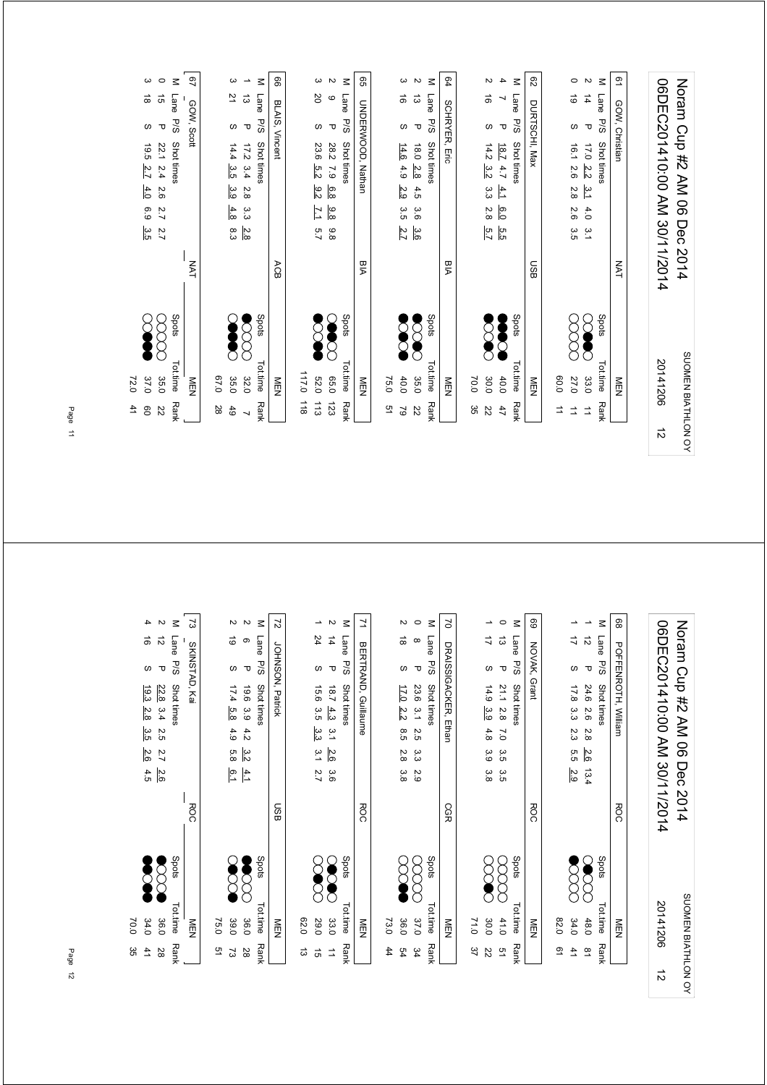|           | 41<br>O9                 | 37.0<br>72.0       |       |            | $\vec{\circ}$<br>$\omega$<br>45.5<br>2.7<br>4.0<br>63<br>3.5                      | ω                        |
|-----------|--------------------------|--------------------|-------|------------|-----------------------------------------------------------------------------------|--------------------------|
|           | 22                       | 35.0               |       |            | $\vec{\mathfrak{o}}$<br>$\mathbf \tau$<br>22.1<br><b>2.4</b><br>2.6<br>2.7<br>2.7 | $\circ$                  |
|           | <b>Rank</b>              | Tot.time           | Spots |            | Lane<br><b>P/S</b><br>Shot times                                                  | $\leq$                   |
|           |                          | NEN<br>N           |       | <b>NAT</b> | GOW, Scott                                                                        | 9                        |
|           | 28                       | 0.70               |       |            |                                                                                   |                          |
|           | 49                       | 35.0               |       |            | 21<br>$\omega$<br>14.4<br>ပ္ပ<br>ပ္ပ<br>4.8<br>စ်<br>ဖ                            | ω                        |
|           | $\overline{\phantom{0}}$ | 32.0               |       |            | ದ<br>$\mathbf \sigma$<br>17.2<br>3.4<br>2.8<br>دن<br>دن<br>2.8                    | $\overline{\phantom{a}}$ |
|           | Rank                     | Tot.time           | Spots |            | Lane<br>P/S<br>Shot times                                                         | $\leq$                   |
|           |                          | NEN                |       | ACB        | BLAIS, Vincent                                                                    | 8                        |
|           | $\frac{1}{8}$            | 117.0              |       |            |                                                                                   |                          |
|           | 113                      | <b>52.0</b>        |       |            | SO<br>$\omega$<br>23.6<br>5.2<br>$\frac{9.2}{2}$<br>71<br>5.7                     | ω                        |
|           | 123                      | 0.56               |       |            | $\circ$<br>$\mathbf \sigma$<br>28.2<br>62<br>6.8<br>$\frac{9}{8}$<br>8.8          | $\sim$                   |
|           | <b>Rank</b>              | Tot.time           | Spots |            | Lane<br><b>P/S</b><br>Shot times                                                  | $\leq$                   |
|           |                          | <b>MEN</b>         |       | <b>BIA</b> | <b>UNDERWOOD, Nathan</b>                                                          | 99                       |
|           | 51                       | 75.0               |       |            |                                                                                   |                          |
|           | $\mathsf{S}2$            | 40.0               |       |            | ಹ<br>လ<br>14.6<br>4.9<br>2.9<br>3.5<br>2.7                                        | ω                        |
|           | $\overline{z}$           | 35.0               |       |            | ದ<br>$\mathbf{\tau}$<br>0.81<br>2.8<br>4.5<br>3.6<br>ပ္ပ                          | N                        |
|           | <b>Rank</b>              | <b>Tot.time</b>    | Spots |            | Lane<br>P/S<br>Shot times                                                         | $\leq$                   |
|           |                          | NEN                |       | <b>BIA</b> | <b>SCHRYER,</b><br>Eric                                                           | 64                       |
|           | ပ္တ                      | 0.07               |       |            |                                                                                   |                          |
|           | 22                       | 30.0               |       |            | ಹ<br>$\omega$<br>14.2<br>3.2<br>م.<br>م<br>2.8<br>5.7                             | N                        |
|           | 47                       | 40.0               |       |            | $\mathbf \sigma$<br>$\sqrt{181}$<br>4.7<br>4.1<br>$\overline{0.9}$<br>5.G         | 4                        |
|           | Rank                     | Tot.time           | Spots |            | Lane<br><b>P/S</b><br>Shot times                                                  | $\leq$                   |
|           |                          | NEN                |       | <b>GSO</b> | DURTSCHI, Max                                                                     | ని                       |
|           | ⇉                        | 0.06               |       |            |                                                                                   |                          |
|           | ⇉                        | 27.0               |       |            | 6<br>w<br>16.1<br>2.6<br>2.8<br>2.6<br>3.5                                        | 0                        |
|           | $\overrightarrow{a}$     | 33.0               |       |            | $\vec{4}$<br>$\mathbf \tau$<br>17.0<br><u>2.2</u><br>$\frac{3}{4}$<br>4.0<br>3.1  | $\overline{c}$           |
|           | Rank                     | Tot.time           | Spots |            | Lane<br>P/S<br>Shot times                                                         | $\leq$                   |
|           |                          | NEN                |       | <b>NAT</b> | GOW, Christian                                                                    | 51                       |
|           |                          |                    |       |            |                                                                                   |                          |
| $\vec{v}$ |                          | 20141206           |       |            | 06DEC201410:00 AM 30/11/2014                                                      |                          |
|           |                          | SUOMEN BIATHLON OY |       |            | Noran Cup #2 AM 06 Dec 2014                                                       |                          |

| ပ္တ<br>$\ddot{4}$       | 34.0<br>0.07 |       |            | $\frac{2.6}{2}$<br>4.5 | 3.5         | 19.3<br>2.8                  | ဖ                | ಕ                    | 4                        |
|-------------------------|--------------|-------|------------|------------------------|-------------|------------------------------|------------------|----------------------|--------------------------|
| 28                      | 36.0         | ్     |            | 2.7<br>2.6             | 2.5         | 22.8<br>3.4                  | $\mathbf \tau$   | $\vec{v}$            | $\sim$                   |
| <b>Rank</b>             | Tot.time     | Spots |            |                        |             | Shot times                   | P/S              | <b>Lane</b>          | $\leq$                   |
|                         | NEN          |       | ROC        |                        |             |                              | SKINSTAD, Kai    |                      | ವ                        |
| 51                      | 75.0         |       |            |                        |             |                              |                  |                      |                          |
| 2                       | 39.0         |       |            | 5.8<br>Ğ.1             | 4.9         | 17.4<br>5.8                  | $\omega$         | $\vec{\circ}$        | Z                        |
| 28                      | 36.0         |       |            | 3.2<br>$\frac{4}{1}$   | 4.2         | 9.61<br>3.9                  | τ                | ၜ                    | $\sim$                   |
| <b>Rank</b>             | Tot.time     | Spots |            |                        |             | Shot times                   | P/S              | Lane                 | $\leq$                   |
|                         | NEN          |       | <b>GSN</b> |                        |             | JOHNSON, Patrick             |                  |                      | $\overline{z}$           |
| ದ                       | 020          |       |            |                        |             |                              |                  |                      |                          |
| $\vec{a}$               | <b>29.0</b>  |       |            | 3.1<br>2.7             | ယ်<br>ကိ    | 15.6<br>3.5                  | S                | 24                   | ∸                        |
| $\Rightarrow$           | 33.0         |       |            | 2.6<br>3.6             | $\tilde{c}$ | 18.7<br>4.3                  | $\mathbf \sigma$ | $\overrightarrow{4}$ | $\sim$                   |
| <b>Rank</b>             | Tot.time     | Spots |            |                        |             | Shot times                   | P/S              | Lane                 | $\leq$                   |
|                         | NEN          |       | <b>ROC</b> |                        |             | BERTRAND, Guillaume          |                  |                      | 7                        |
| 44                      | 73.0         |       |            |                        |             |                              |                  |                      |                          |
| 54                      | 36.0         |       |            | 2.8<br>3.8             | 8.5         | $\overline{11.0}$<br>2.2     | $\omega$         | $\vec{a}$            | Z                        |
| 54                      | 37.0         |       |            | α.<br>ვ<br>2.9         | 2.5         | 23.6<br>$\frac{2}{3}$        | $\mathbf \sigma$ | $\infty$             | $\circ$                  |
| <b>Rank</b>             | Tot.time     | Spots |            |                        |             | Shot times                   | <b>P/S</b>       | Lane                 | $\leq$                   |
|                         | <b>MEN</b>   |       | CGR        |                        |             | DRAISSIGACKER, Ethan         |                  |                      | 2                        |
| 37                      | 71.0         |       |            |                        |             |                              |                  |                      |                          |
| 22                      | 30.0         |       |            | 3.9<br>3.8             | 4.8         | 14.9<br>3.9                  | $\omega$         | ゴ                    | ∸                        |
| 51                      | 41.0         |       |            | 3.5<br>3.5             | $\tilde{C}$ | 21.1 2.8                     | $\mathbf \sigma$ | $\vec{\omega}$       | $\circ$                  |
| <b>Rank</b>             | Tot.time     | Spots |            |                        |             | Shot times                   | <b>P/S</b>       | Lane                 | $\leq$                   |
|                         | NEN          |       | <b>ROC</b> |                        |             |                              | NOVAK, Grant     |                      | 89                       |
| 2                       | 028          |       |            |                        |             |                              |                  |                      |                          |
| 41                      | 34.0         |       |            | 5.5<br>2.9             | 2.3         | 17.8<br>ယ<br>ယ               | $\omega$         | ゴ                    | ∸                        |
| $\overline{\mathbf{6}}$ | 48.0         |       |            | 2.6<br>13.4            | 2.8         | 24.6<br>97                   | ᠊ᠣ               | $\vec{v}$            | $\overline{\phantom{a}}$ |
| <b>Rank</b>             | Tot.time     | Spots |            |                        |             | Shot times                   | P/S              | Lane                 | $\leq$                   |
|                         | NEN          |       | <b>ROC</b> |                        |             | POFFENROTH, William          |                  |                      | 89                       |
|                         |              |       |            |                        |             |                              |                  |                      |                          |
| $\vec{v}$               | 20141206     |       |            |                        |             | 06DEC201410:00 AM 30/11/2014 |                  |                      |                          |
| SUOMEN BIATHLON OY      |              |       | 2014       | Dec                    |             | Noram Cup #2 AM 06           |                  |                      |                          |
|                         |              |       |            |                        |             |                              |                  |                      |                          |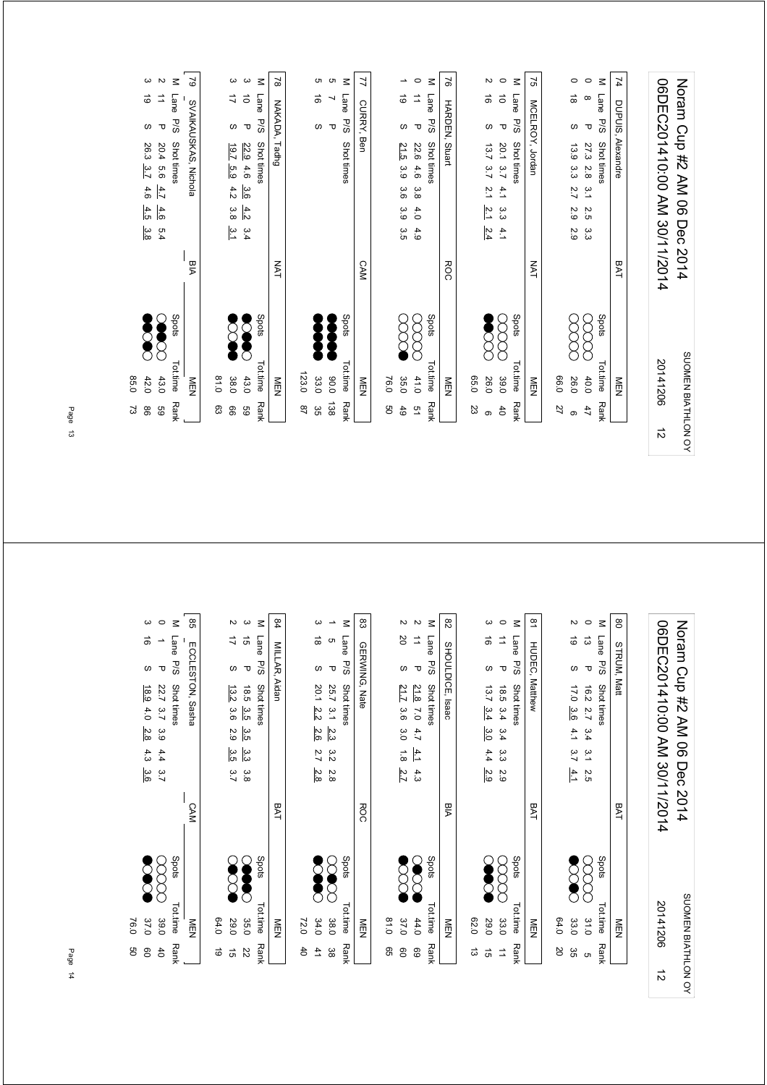|           | 98<br>2         | 0.58<br>42.0       |       |            | ω<br>26.3<br>3.7<br>4.6<br>4.5<br>3.8                               | 6                        | ယ       |
|-----------|-----------------|--------------------|-------|------------|---------------------------------------------------------------------|--------------------------|---------|
|           | GS              | 43.0               | C     |            | $\mathbf \tau$<br>20.4<br>9.6<br>4.7<br>4.6<br>5.4                  | $\vec{=}$                | $\sim$  |
|           | <b>Rank</b>     | Tot.time           | Spots |            | <b>P/S</b><br><b>Shot times</b>                                     | Lane                     | $\leq$  |
|           |                 | NEN                |       | РIА        | SVAIKAUSKAS, Nichola                                                |                          | 2       |
|           | සි              | 0.18               |       |            |                                                                     |                          |         |
|           | 99              | 38.0               |       |            | $\omega$<br>$1.9 - 7$<br>5.9<br>4.2<br>3.8<br>م<br>د                | 4                        | ယ       |
|           | 69              | 43.0               |       |            | τ<br>22.9<br>4.6<br>3.6<br>4.2<br>3.4                               | $\vec{0}$                | ω       |
|           | <b>Rank</b>     | Tot.time           | Spots |            | P/S<br>Shot times                                                   | Lane                     | $\leq$  |
|           |                 | NEN                |       | <b>NAT</b> | NAKADA, Tadhg                                                       |                          | 2       |
|           | 28              | 123.0              |       |            |                                                                     |                          |         |
|           | æ               | 33.0               |       |            | w                                                                   | ಹ                        | c       |
|           | $\frac{138}{2}$ | 0.06               |       |            | $\mathbf \sigma$                                                    | $\overline{\phantom{a}}$ | c       |
|           | <b>Rank</b>     | Tot.time           | Spots |            | <b>P/S</b><br>Shot times                                            | Lane                     | $\leq$  |
|           |                 | NEN                |       | <b>CAM</b> | CURRY, Ben                                                          |                          |         |
|           | ပ္ပ             | 76.0               |       |            |                                                                     |                          |         |
|           | 6 <sup>4</sup>  | 35.0               |       |            | $\omega$<br>21.5<br>3.9<br>3.6<br>3.9<br>3.5                        | ಠ                        | ∸       |
|           | $\overline{a}$  | 41.0               |       |            | $\mathbf \sigma$<br>22.6<br>4.6<br>3.8<br>4.0<br>4.9                | ₫                        | $\circ$ |
|           | Rank            | Tot.time           | Spots |            | 5/5<br>Shot times                                                   | Lane                     | $\leq$  |
|           |                 | NEN                |       | <b>ROC</b> | HARDEN,<br>Stuart                                                   |                          | 97      |
|           | 23              | 0.50               |       |            |                                                                     |                          |         |
|           | ၜ               | 26.0               |       |            | ς<br>13.7<br>3.7<br>$\tilde{z}$ 1<br>2.1<br>2.4                     | $\vec{0}$                | Z       |
|           | $\overline{d}$  | 39.0               |       |            | $\mathbf \sigma$<br>20.1<br>3.7<br>$\ddot{4}$<br>ပ္ပ<br>$\ddot{a}$  | $\vec{0}$                | $\circ$ |
|           | <b>Rank</b>     | Tot.time           | Spots |            | <b>P/S</b><br>Shot times                                            | Lane                     | $\leq$  |
|           |                 | MEN                |       | <b>NAT</b> | MCELROY, Jordan                                                     |                          | 51      |
|           | 27              | 0.96               |       |            |                                                                     |                          |         |
|           | ၜ               | 26.0               |       |            | S<br>13.9<br>ယ<br>ယ<br>2.7<br>2.9<br>2.9                            | $\vec{a}$                | 0       |
|           | 47              | 40.0               |       |            | $\mathbf \tau$<br>27.3<br>2.8<br>$\frac{1}{2}$<br>N<br>்<br>دى<br>د | $\infty$                 | $\circ$ |
|           | Rank            | <b>Tot.time</b>    | Spots |            | P/S<br>Shot times                                                   | Lane                     | $\leq$  |
|           |                 | NEN<br>N           |       | BAT        | <b>DUPUIS,</b><br>Alexandre                                         |                          | 74      |
|           |                 |                    |       |            |                                                                     |                          |         |
| $\vec{v}$ |                 | 20141206           |       |            | 06DEC201410:00 AM 30/11/2014                                        |                          |         |
|           |                 | SUOMEN BIATHLON OY |       |            | Noran Cup #2 AM 06 Dec 2014                                         |                          |         |

| ၶ<br>8               | 37.0<br>76.0      |            | ω<br>ಹ<br>$\omega$<br>6.9<br>4.0<br>2.8<br>4.3<br>3.6                                           |
|----------------------|-------------------|------------|-------------------------------------------------------------------------------------------------|
| $\uparrow$           | 39.0              |            | $\circ$<br>$\rightarrow$<br>$\mathbf \sigma$<br>22.7 3.7<br>3.9<br>4.4<br>3.7                   |
| <b>Rank</b>          | Spots<br>Tot.time |            | $\leq$<br><b>Lane</b><br>P/S<br>Shot times                                                      |
|                      | NEN               | <b>CAM</b> | ၛၟ<br>ECCLESTON, Sasha                                                                          |
| 6                    | 64.0              |            |                                                                                                 |
| <b>G</b>             | 29.0              |            | Z<br>17<br>လ<br>13.2<br>3.6<br>2.9<br>3.5<br>3.7                                                |
| 22                   | 35.0              |            | ယ<br>$\vec{q}$<br>$\mathbf \sigma$<br>18.5<br>3.5<br>3.5<br>3.3<br>3.8                          |
| <b>Rank</b>          | Spots<br>Tot.time |            | $\leq$<br>Lane<br>P/S<br>Shot times                                                             |
|                      | NEN               | <b>BAT</b> | 84<br>MILLAR, Aidan                                                                             |
| 4                    | 72.0              |            |                                                                                                 |
| 41                   | 34.0              |            | ω<br>ಹ<br>w<br>20.1<br>2.2<br>2.6<br>2.7<br>2.8                                                 |
| 88                   | 38.0              |            | $\overline{\phantom{a}}$<br>c<br>$\mathbf \sigma$<br>25.7<br>$\frac{3}{1}$<br>2.3<br>3.2<br>2.8 |
| <b>Rank</b>          | Spots<br>Tot.time |            | $\leq$<br>Lane<br>P/S<br>Shot times                                                             |
|                      | NEN               | <b>ROC</b> | 83<br>GERWING, Nate                                                                             |
| S9                   | 0.18              |            |                                                                                                 |
| 8                    | 37.0              |            | Z<br>20<br>$\omega$<br>21.7<br>3.6<br>3.0<br>$\overrightarrow{8}$<br>2.7                        |
| 69                   | Q<br>44.0         |            | $\sim$<br>⇉<br>$\mathbf \sigma$<br>21.8<br>$\overline{0}$<br>4.7<br>4.1<br>4.3                  |
| <b>Rank</b>          | Spots<br>Tot.time |            | $\leq$<br>Lane<br>P/S<br>Shot times                                                             |
|                      | NEN               | <b>BIA</b> | 82<br>SHOULDICE, Isaac                                                                          |
| ಪ                    | 02.0              |            |                                                                                                 |
| 5Ì                   | 29.0              |            | ယ<br>ಕ<br>$\omega$<br>13.7<br>3.4<br>3.0<br>4.4<br>2.9                                          |
| $\overrightarrow{a}$ | 33.0              |            | $\circ$<br>⇉<br>$\mathbf \sigma$<br>18.5<br>3.4<br>3.4<br>α<br>ვ<br>2.9                         |
| <b>Rank</b>          | Spots<br>Tot.time |            | $\leq$<br>Lane<br>P/S<br>Shot times                                                             |
|                      | NEN               | BAT        | $\overline{8}$<br><b>HUDEC, Matthew</b>                                                         |
| SO                   | 64.0              |            |                                                                                                 |
| ပ္ပ                  | 33.0              |            | $\sim$<br>6<br>ω<br>17.0<br>3.6<br>4.1<br>3.7<br>4.1                                            |
| ຕ                    | 31.0              |            | $\circ$<br>$\vec{\omega}$<br>$\mathbf \tau$<br>16.2<br>2.7<br>3.4<br>م.<br>ح<br>2.5             |
| <b>Rank</b>          | Spots<br>Tot.time |            | $\leq$<br>Lane<br>P/S<br>Shot times                                                             |
|                      | NEN               | BAT        | 8<br>STRUM, Matt                                                                                |
|                      |                   |            |                                                                                                 |
| $\vec{v}$            | 20141206          |            | 06DEC201410:00 AM 30/11/2014                                                                    |
| SUOMEN BIATHLON OY   |                   | 2014       | Noram Cup #2 AM 06<br>Dec                                                                       |
|                      |                   |            |                                                                                                 |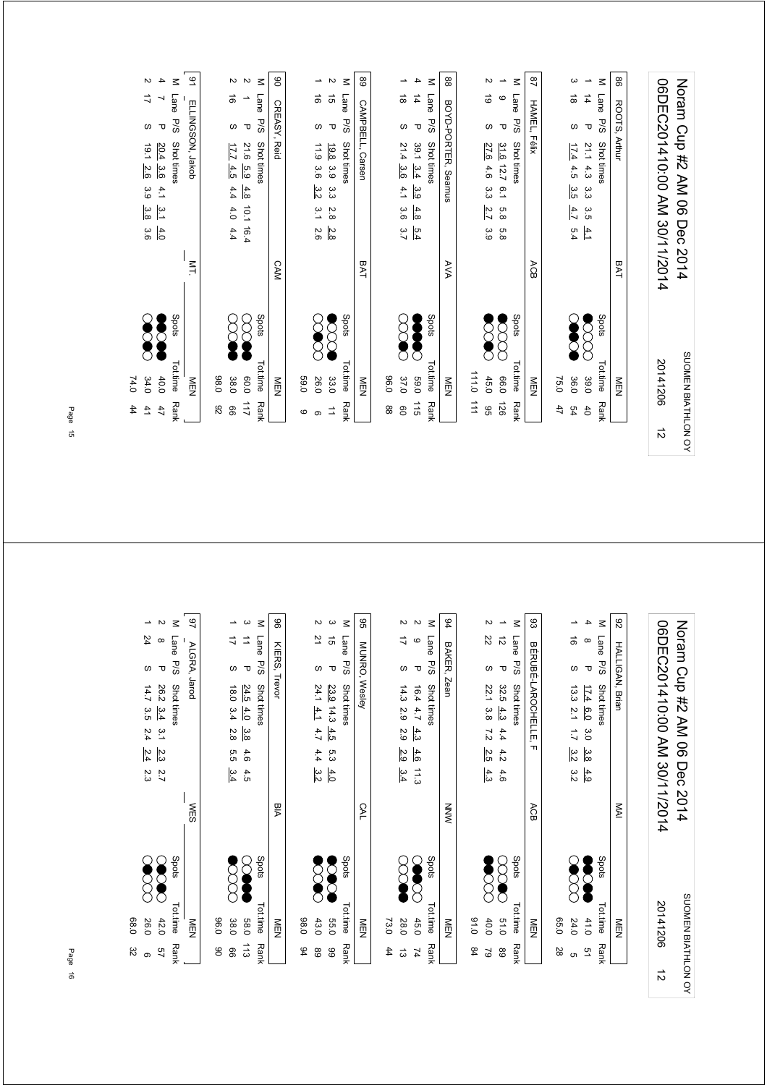|           | $\ddot{4}$            | 74.0               |       |             |                              |                |                     |                  |                          |                          |
|-----------|-----------------------|--------------------|-------|-------------|------------------------------|----------------|---------------------|------------------|--------------------------|--------------------------|
|           | 41                    | 34.0               |       |             | ပ္ပ<br>3.6                   | 3.9            | 10.1<br>2.6         | $\omega$         | ゴ                        | $\sim$                   |
|           | 47                    | 40.0               |       |             | $\frac{3}{4}$<br>4.0         | 4.1            | 20.4<br>3.6         | $\mathbf \tau$   | J                        | 4                        |
|           | <b>Rank</b>           | Tot.time           | Spots |             |                              |                | Shot times          | P/S              | <b>Lane</b>              | $\leq$                   |
|           |                       | NEN                |       | $M_{\rm L}$ |                              |                | ELLINGSON, Jakob    |                  |                          | 91                       |
|           | 82                    | 0.89               |       |             |                              |                |                     |                  |                          |                          |
|           | 99                    | 38.0               |       |             | 4.0<br>4.4                   | 4.4            | 17.7<br>4.5         | S                | ಹ                        | $\mathbf w$              |
|           | 211                   | 0.06               |       |             | 10.1 16.4                    | 4.8            | 21.6<br>5.9         | $\mathbf \sigma$ | $\overline{\phantom{a}}$ | $\sim$                   |
|           | Rank                  | Tot.time           | Spots |             |                              |                | Shot times          | <b>P/S</b>       | Lane                     | $\leq$                   |
|           |                       | NEN                |       | <b>CAM</b>  |                              |                |                     | CREASY, Reid     |                          | ៜ                        |
|           | စ                     | 0.65               |       |             |                              |                |                     |                  |                          |                          |
|           | ၜ                     | 26.0               |       |             | 3.1<br>2.6                   | 3.2            | 11.9<br>3.6         | $\omega$         | ಹ                        | ∸                        |
|           | $\vec{=}$             | 33.0               |       |             | 2.8<br>2.8                   | دى<br>ما       | 19.8 3.9            | $\mathbf \sigma$ | $\vec{g}$                | $\sim$                   |
|           | Rank                  | Tot.time           | Spots |             |                              |                | Shot times          | P/S              | Lane                     | $\leq$                   |
|           |                       | NEN                |       | BAT         |                              |                | CAMPBELL, Carsen    |                  |                          | 89                       |
|           | 88                    | 0.96               |       |             |                              |                |                     |                  |                          |                          |
|           | $\overline{0}$        | 37.0               |       |             | 3.6<br>$\frac{5.4}{3.7}$     | 4.1            | 21.4<br>3.6         | $\omega$         | ಹ                        | ∸                        |
|           | 115                   | 0'69               |       |             | 4.8                          | 3.9            | $39.1 \t3.4$        | $\mathbf \sigma$ | 4                        | 4                        |
|           | Rank                  | <b>Tot.time</b>    | Spots |             |                              |                | Shot times          | P/S              | Lane                     | $\leq$                   |
|           |                       | NEN                |       | AVA         |                              |                | BOYD-PORTER, Seamus |                  |                          | 8                        |
|           | $\overrightarrow{11}$ | 0.111              |       |             |                              |                |                     |                  |                          |                          |
|           | 96                    | 45.0               |       |             | 2.7<br>3.9                   | م<br>م         | 27.6<br>4.6         | $\omega$         | $\vec{\circ}$            | N                        |
|           | 921                   | 0.06               |       |             | 5.8<br>5.8                   | $\overline{5}$ | 31.6<br>12.7        | τ                | $\mathbf{\circ}$         | $\overline{\phantom{a}}$ |
|           | Rank                  | <b>Tot.time</b>    | Spots |             |                              |                | <b>Shot times</b>   | P/S              | Lane                     | $\leq$                   |
|           |                       | <b>NEN</b>         |       | ACB         |                              |                | Félix               |                  | <b>HAMEL</b>             | $^{28}$                  |
|           | 47                    | 75.0               |       |             |                              |                |                     |                  |                          |                          |
|           | 54                    | 36.0               |       |             | 4.7<br>5.4                   | 3.5            | 17.4<br>4.5         | $\omega$         | $\vec{\infty}$           | ယ                        |
|           | 40                    | 39.0               |       |             | 3.5<br>$\frac{4.1}{4}$       | دن<br>دن       | 21.14.3             | $\mathbf \sigma$ | $\frac{1}{4}$            | $\overline{\phantom{a}}$ |
|           | Rank                  | Tot.time           | Spots |             |                              |                | Shot times          | P/S              | Lane                     | $\leq$                   |
|           |                       | NEN                |       | BAT         |                              |                |                     | ROOTS, Arthur    |                          | 8                        |
|           |                       |                    |       |             |                              |                |                     |                  |                          |                          |
| $\vec{v}$ |                       | 20141206           |       |             | 06DEC201410:00 AM 30/11/2014 |                |                     |                  |                          |                          |
|           |                       | SUOMEN BIATHLON OY |       |             | Noran Cup #2 AM 06 Dec 2014  |                |                     |                  |                          |                          |

| 32<br>ၜ            | 68.0<br>26.0      |               | 24<br>ဖ<br>14.7<br>3.5<br>2.4<br>2.4<br>2.3                                        | ∸             |
|--------------------|-------------------|---------------|------------------------------------------------------------------------------------|---------------|
| 57                 | 42.0              |               | $\infty$<br>᠊ᠣ<br>26.2<br>3.4<br>5.1<br>2.3<br>2.7                                 | $\sim$        |
| <b>Rank</b>        | Spots<br>Tot.time |               | Lane<br>P/S<br>Shot times                                                          | $\leq$        |
|                    | NEN               | <b>WES</b>    | ALGRA, Jarod                                                                       | 97            |
| ఠ                  | 0.96              |               |                                                                                    |               |
| 8                  | 38.0              |               | ゴ<br>$\omega$<br>18.0<br>3.4<br>2.8<br>5.5<br>3.4                                  | →             |
| 113                | 083               |               | ⇉<br>$\mathbf \sigma$<br>24.5<br>4.0<br>3.8<br>4.6<br>4.5                          | ယ             |
| <b>Rank</b>        | Spots<br>Tot.time |               | Lane<br>P/S<br>Shot times                                                          | $\leq$        |
|                    | NEN               | Мa            | KIERS, Trevor                                                                      | 8             |
| 94                 | 0.89              |               |                                                                                    |               |
| 68                 | 43.0              |               | 21<br>$\omega$<br>$24.1 \frac{4.1}{4.1}$<br>4.7<br>4.4<br>3.2                      | Z             |
| 8                  | 55.0              |               | $\vec{g}$<br>$\mathbf \sigma$<br>23.9 14.3<br>4.5<br>5.3<br>4.0                    | ယ             |
| <b>Rank</b>        | Spots<br>Tot.time |               | Lane<br><b>P/S</b><br>Shot times                                                   | $\leq$        |
|                    | NEN               | CAL           | MUNRO, Wesley                                                                      | 99            |
| 44                 | 73.0              |               |                                                                                    |               |
| ದ                  | 28.0              |               | ⇉<br>$\omega$<br>14.3<br>2.9<br>2.9<br>2.9<br>3.4                                  | Z             |
| 74                 | 45.0              |               | $\mathbf  \circ$<br>$\mathbf \sigma$<br>16.4 4.7<br>4.3<br>4.6<br>$\frac{11.3}{3}$ | $\sim$        |
| <b>Rank</b>        | Spots<br>Tot.time |               | Lane<br>P/S<br>Shot times                                                          | $\leq$        |
|                    | NEN               | MNN           | BAKER,<br>, Zean                                                                   | 94            |
| \$4                | 0.10              |               |                                                                                    |               |
| 2                  | 40.0              |               | 22<br>$\omega$<br>22.1<br>3.8<br>$\overline{z}$<br>2.5<br>4.3                      | Z             |
| 89                 | 8<br>015          |               | $\vec{\tilde{\omega}}$<br>$\mathbf \sigma$<br>32.5<br>4.3<br>4.4<br>4.2<br>4.6     | $\rightarrow$ |
| <b>Rank</b>        | Spots<br>Tot.time |               | Lane<br>P/S<br>Shot times                                                          | $\leq$        |
|                    | <b>NEN</b>        | ACB           | BÉRUBÉ-LAROCHELLE.<br>$\mathbf{L}$                                                 | 83            |
| 28                 | 05.0              |               |                                                                                    |               |
| ຕ                  | 24.0              |               | ಹೆ<br>$\omega$<br>13.3<br>$\overline{2}.1$<br>$\overline{L}$<br>3.2<br>3.2         | ∸             |
| 51                 | 41.0              |               | $\infty$<br>$\mathbf \tau$<br>17.4<br>6.0<br>0.5<br>3.8<br>4.9                     | 4             |
| <b>Rank</b>        | Spots<br>Tot.time |               | Lane<br>P/S<br>Shot times                                                          | $\leq$        |
|                    | NEN               | $\frac{1}{2}$ | <b>HALLIGAN, Brian</b>                                                             | 82            |
|                    |                   |               |                                                                                    |               |
| $\vec{v}$          | 20141206          |               | 06DEC201410:00 AM 30/11/2014                                                       |               |
| SUOMEN BIATHLON OY |                   | 2014          | Noram Cup #2 AM 06<br>Dec                                                          |               |
|                    |                   |               |                                                                                    |               |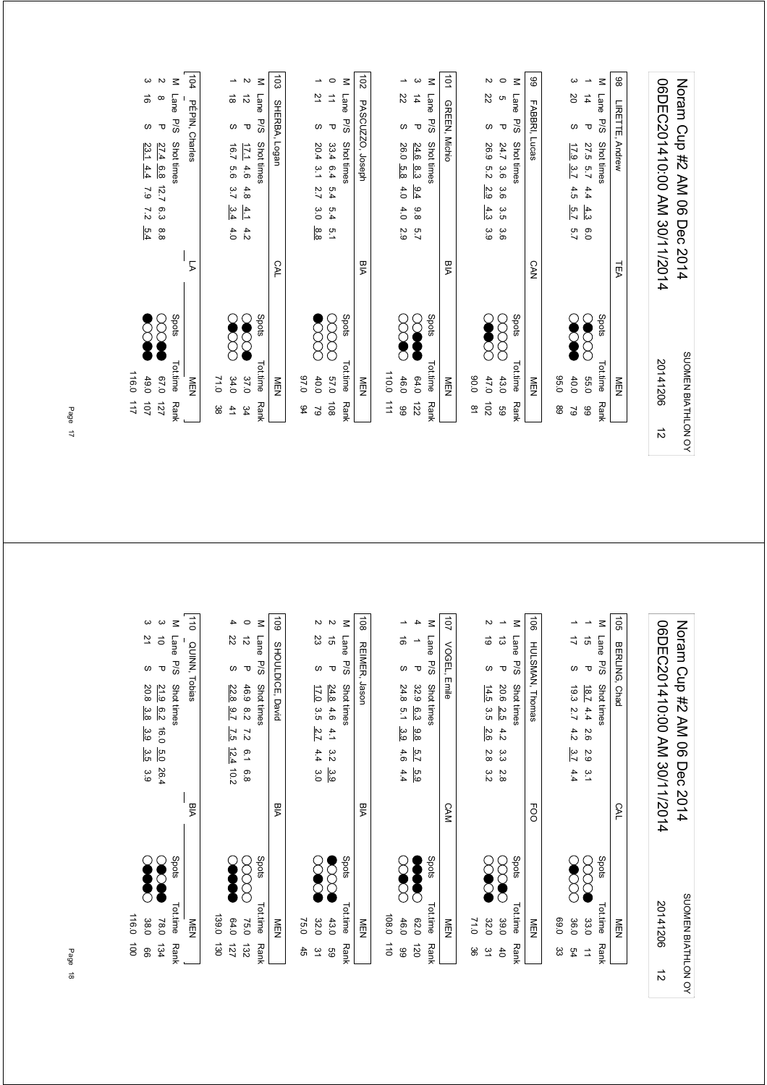|           | 111             | 116.0              |       |                              |                             |      |               |                   |                      |                      |                           |
|-----------|-----------------|--------------------|-------|------------------------------|-----------------------------|------|---------------|-------------------|----------------------|----------------------|---------------------------|
|           | 101             | 49.0               |       |                              | $\overline{2}$<br>5.4       | 7.9  | 4.4           | 23.1              | ${\mathcal{O}}$      | ಹ                    | ω                         |
|           | $\overline{21}$ | 0.70               |       |                              | 6.3<br>8.8                  | 12.7 |               | 27.4 6.8          | $\mathbf \tau$       | $\infty$             | $\mathbf{v}$              |
|           | Rank            | Tot.time           | Spots |                              |                             |      |               | Shot times        | <b>P/S</b>           | Lane                 | $\leq$                    |
|           |                 | NEN                |       | 5                            |                             |      |               |                   | PÉPIN, Charles       |                      | $\frac{104}{10}$          |
|           | ယ္ထ             |                    |       |                              |                             |      |               |                   |                      |                      |                           |
|           |                 | 71.0               |       |                              |                             |      |               |                   |                      |                      |                           |
|           | 41              | 34.0               |       |                              | 3.4<br>4.0                  | 3.7  | 9.9           | 16.7              | $\omega$             | $\vec{a}$            | ∸                         |
|           | 34              | 37.0               |       |                              | $\pm$<br>4.2                | 4.8  | 4.6           | <b>TZ1</b>        | $\mathbf \sigma$     | $\vec{v}$            | $\boldsymbol{\mathsf{N}}$ |
|           | <b>Rank</b>     | <b>Tot.time</b>    | Spots |                              |                             |      |               | Shot times        | <b>P/S</b>           | Lane                 | Μ                         |
|           |                 | NEN                |       | CAL                          |                             |      |               | Logan             | SHERBA,              |                      | 103                       |
|           | 94              | 0.76               |       |                              |                             |      |               |                   |                      |                      |                           |
|           | 29              | 40.0               |       |                              | 3.0<br>8.8                  | 2.7  | $\frac{3}{2}$ | 20.4              | $\omega$             | 21                   | $\overline{\phantom{0}}$  |
|           | $\overline{6}$  | 0'29               |       |                              | 5.4<br>5.1                  | 5.4  | 6.4           | 33.4              | $\mathbf \sigma$     | ₫                    | $\circ$                   |
|           | Rank            | Tottime            | Spots |                              |                             |      |               | Shot times        | P/S                  | Lane                 | $\leq$                    |
|           |                 | NEN                |       | BIA                          |                             |      |               | PASCUZZO, Joseph  |                      |                      | $\overline{5}$            |
|           | 111             | 110.0              |       |                              |                             |      |               |                   |                      |                      |                           |
|           | 66              | 46.0               |       |                              | 4.0<br>2.9                  | 4.0  | 5.8           | 26.0              | w                    | 22                   | →                         |
|           | 122             | 64.0               |       |                              | 8.8<br>2.7                  | 6.4  | 8.3           | 24.6              | $\mathbf \sigma$     | $\overline{4}$       | ပ                         |
|           | <b>Rank</b>     | Tot.time           | Spots |                              |                             |      |               | Shot times        | <b>P/S</b>           | Lane                 | $\leq$                    |
|           |                 | NEN<br>N           |       | РIА                          |                             |      |               |                   | <b>GREEN, Michio</b> |                      | $\overrightarrow{01}$     |
|           | $\overline{a}$  | 0.08               |       |                              |                             |      |               |                   |                      |                      |                           |
|           | $\overline{5}$  | 47.0               |       |                              | $4.3$<br>3.9                | 2.9  | 5.2           | 26.9              | $\omega$             | 22                   | Z                         |
|           | 69              | 43.0               |       |                              | 3.5<br>3.6                  | 3.6  | 3.6           | 24.7              | $\mathbf \sigma$     | c                    | $\circ$                   |
|           | <b>Rank</b>     | Tot.time           | Spots |                              |                             |      |               | Shot times        | <b>P/S</b>           | Lane                 | $\leq$                    |
|           |                 | <b>MEN</b>         |       | <b>CAN</b>                   |                             |      |               |                   | FABBRI, Lucas        |                      | 89                        |
|           | 89              | 0.56               |       |                              |                             |      |               |                   |                      |                      |                           |
|           | $\tilde{6}$     | 40.0               |       |                              | 5.7<br>$\overline{5.7}$     | 4.5  | 3.7           | $\overline{17.9}$ | $\omega$             | 20                   | ω                         |
|           | 66              | 039                |       |                              | $\frac{4}{3}$<br>0.0        | 4.4  | 5.7           | 27.5              | $\mathbf \sigma$     | $\overrightarrow{4}$ | $\overline{\phantom{a}}$  |
|           | Rank            | Tot.time           | Spots |                              |                             |      |               | Shot times        | PSG                  | Lane                 | $\leq$                    |
|           |                 | NEN                |       | TEA                          |                             |      |               | Andrew            | LIRETTE,             |                      | 86                        |
|           |                 |                    |       |                              |                             |      |               |                   |                      |                      |                           |
| $\vec{v}$ |                 | 20141206           |       | 06DEC201410:00 AM 30/11/2014 |                             |      |               |                   |                      |                      |                           |
|           |                 | SUOMEN BIATHLON OY |       |                              | Noran Cup #2 AM 06 Dec 2014 |      |               |                   |                      |                      |                           |

|                    | $\vec{p}$        | 116.0      |       |            |                                                        |                                      |                          |
|--------------------|------------------|------------|-------|------------|--------------------------------------------------------|--------------------------------------|--------------------------|
|                    | 8                | 38.0       |       |            | 20.8<br>3.8<br>3.9<br>3.5<br>3.9                       | $\overline{z}$<br>w                  | ω                        |
|                    | 134              | 78.0       |       |            | 21.9<br>6.2<br>16.0<br>5.0<br>26.4                     | $\vec{o}$<br>$\mathbf \sigma$        | ω                        |
|                    | <b>Rank</b>      | Tot.time   | Spots |            | Shot times                                             | Lane<br>5/5                          | $\leq$                   |
|                    |                  | <b>NEN</b> |       | PIA        |                                                        | QUINN, Tobias                        | $\frac{1}{10}$           |
|                    | 130              | 139.0      |       |            |                                                        |                                      |                          |
|                    | $\overline{121}$ | 64.0       |       |            | 22.8<br>$-5.7$<br>7.5<br>12.4<br>$-10.2$               | 22<br>ဖ                              | 4                        |
|                    | 132              | 75.0       |       |            | 46.9<br>8.2<br>↘<br>i.<br>i<br>0<br>8.8                | $\vec{v}$<br>$\overline{\mathbf{u}}$ | $\circ$                  |
|                    | <b>Rank</b>      | Tot.time   | Spots |            | Shot times                                             | Lane<br>P/S                          | $\leq$                   |
|                    |                  | NEN        |       | РIА        | , David                                                | SHOULDICE,                           | 601                      |
|                    | $\ddot{5}$       | 75.0       |       |            |                                                        |                                      |                          |
|                    | $\tilde{z}$      | 32.0       |       |            | 17.0<br>3.5<br>2.7<br>4.4<br>3.0                       | 23<br>$\omega$                       | N                        |
|                    | 89               | 43.0       |       |            | 24.8<br>4.6<br>4.1<br>3.2<br>3.9                       | $\vec{5}$<br>$\mathbf \sigma$        | N                        |
|                    | Rank             | Tot.time   | Spots |            | Shot times                                             | Lane<br><b>P/S</b>                   | $\leq$                   |
|                    |                  | NEN        |       | BIA        | Jason                                                  | <b>REIMER,</b>                       | 108                      |
|                    | $\vec{a}$        | 108.0      |       |            |                                                        |                                      |                          |
|                    | 8                | 46.0       |       |            | 24.8<br>$\overline{5}$ .<br>3.9<br>4.6<br>4.4          | $\vec{a}$<br>$\omega$                | ∸                        |
|                    | 120              | 020        |       |            | 32.9<br>6.3<br>9.8<br>5.7<br>5.9                       | $\rightarrow$<br>τ                   | 4                        |
|                    | <b>Rank</b>      | Tot.time   | Spots |            | Shot times                                             | <b>Lane</b><br>P/S                   | Σ                        |
|                    |                  | <b>MEN</b> |       | <b>CAM</b> | Emile                                                  | VOGEL,                               | 101                      |
|                    | မ္တ              | 71.0       |       |            |                                                        |                                      |                          |
|                    | 51               | 32.0       |       |            | 14.5<br>3.5<br>2.6<br>2.8<br>3.2                       | 6<br>$\omega$                        | N                        |
|                    | $\uparrow$       | 39.0       |       |            | 20.6<br>2.5<br>4.2<br>α<br>ვ<br>2.8                    | ದ<br>τ                               | $\overline{\phantom{a}}$ |
|                    | <b>Rank</b>      | Tot.time   | Spots |            | Shot times                                             | Lane<br><b>P/S</b>                   | $\leq$                   |
|                    |                  | MEN        |       | <b>FOO</b> | HULSMAN, Thomas                                        |                                      | $\overrightarrow{90}$    |
|                    | జ                | 0.99       |       |            |                                                        |                                      |                          |
|                    | 54               | 36.0       |       |            | 19.3<br>2.7<br>4.2<br>3.7<br>4.4                       | ゴ<br>$\omega$                        | ∸                        |
|                    | $\Rightarrow$    | 33.0       |       |            | $\overline{181}$<br>4.4<br>2.6<br>2.9<br>$\frac{1}{2}$ | $\vec{q}$<br>$\mathbf \tau$          | $\overline{\phantom{a}}$ |
|                    | <b>Rank</b>      | Tot.time   | Spots |            | Shot times                                             | Lane<br>P/S                          | $\leq$                   |
|                    |                  | NEN        |       | CAL        | Chad                                                   | BERLING,                             | $\overrightarrow{5}$     |
|                    |                  |            |       |            |                                                        |                                      |                          |
| $\vec{v}$          |                  | 20141206   |       |            | 06DEC201410:00 AM 30/11/2014                           |                                      |                          |
| SUOMEN BIATHLON OY |                  |            |       | 2014       | Noram Cup #2 AM 06<br>Dec                              |                                      |                          |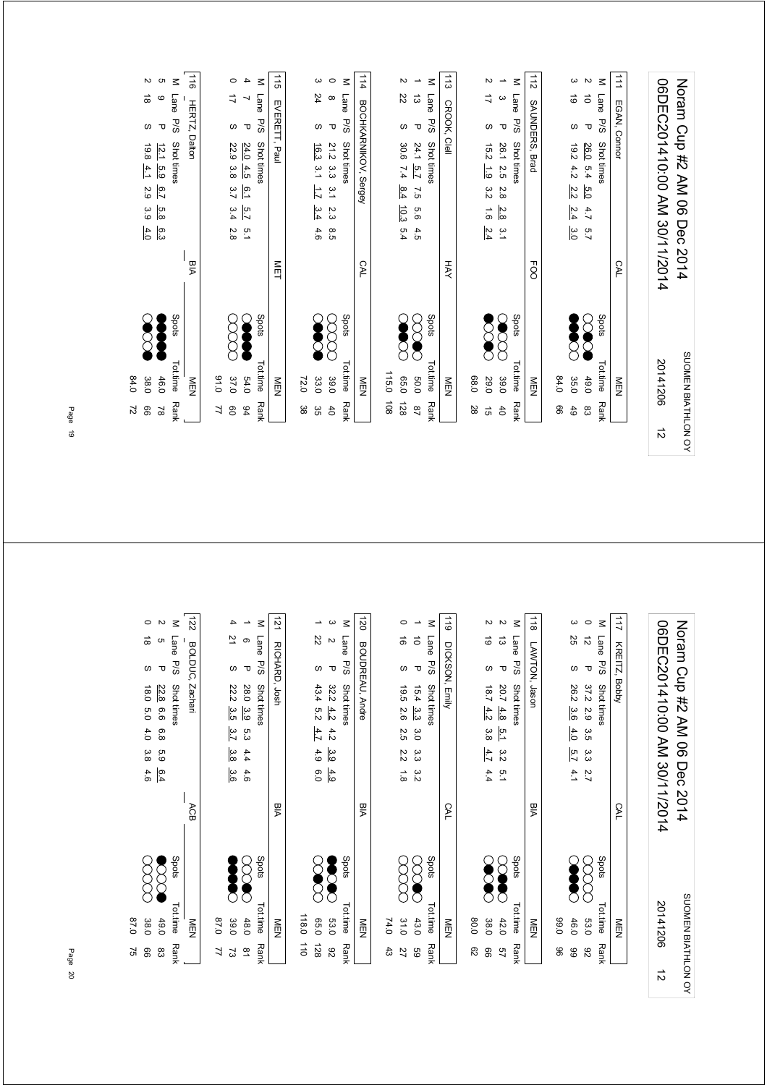| 64.0<br>38.0<br>99<br>2                               |            | N<br>$\stackrel{\rightharpoonup }{\circ}$<br>S<br>19.8<br>4.1<br>2.9<br>3.9<br>4.0                                                |
|-------------------------------------------------------|------------|-----------------------------------------------------------------------------------------------------------------------------------|
| Spots<br>Tot.time<br>46.0<br><b>Rank</b><br>$\approx$ |            | c<br>$\leq$<br>Lane<br>$\mathbf  \circ$<br>P/S<br>$\mathbf \sigma$<br>Shot times<br>12.1<br>5.9<br>$\overline{2.9}$<br>5.8<br>၉့၁ |
| NEN                                                   | РA<br>М    | $\vec{a}$<br>HERTZ,<br>Dalton                                                                                                     |
| 0.16<br>7                                             |            |                                                                                                                                   |
| 37.0<br>$\mathsf{S}^{\mathsf{O}}$                     |            | $\circ$<br>ゴ<br>$\omega$<br>22.9<br>3.8<br>3.4<br>2.8                                                                             |
| 54.0<br>$\frac{6}{4}$                                 |            | 4<br>↘<br>$\mathbf \sigma$<br>24.0<br>4.5<br>6.1<br>5.7<br>5.1                                                                    |
| Spots<br><b>Tot.time</b><br><b>Rank</b>               |            | $\leq$<br>Lane<br><b>P/S</b><br>Shot times                                                                                        |
| $\frac{8}{2}$                                         | <b>NET</b> | $\frac{1}{5}$<br>EVERETT, Paul                                                                                                    |
| 72.0<br>အ                                             |            |                                                                                                                                   |
| 33.0<br>ვg                                            |            | ω<br>24<br>w<br>16.3<br>$\frac{3}{7}$<br>Ę<br>3.4<br>4.6                                                                          |
| 39.0<br>6 <sup>4</sup>                                |            | $\circ$<br>$\infty$<br>$\mathbf \sigma$<br>21.2<br>ယ္ပ<br>ယ<br>3.1<br>2.3<br>8.5                                                  |
| Spots<br>Tot.time<br><b>Rank</b>                      |            | $\leq$<br>Lane<br><b>P/S</b><br>Shot times                                                                                        |
| NEN                                                   | CAL        | 114<br>BOCHKARNIKOV, Sergey                                                                                                       |
| 115.0<br>$\frac{108}{2}$                              |            |                                                                                                                                   |
| 0.56<br>128                                           |            | N<br>22<br>$\omega$<br>30.6<br>7.4<br>8.4<br>10.3<br>5.4                                                                          |
| 0.05<br>$\overline{2}$                                |            | $\overline{\phantom{a}}$<br>ದ<br>$\mathbf \sigma$<br>24.1<br>$\overline{2.2}$<br>$\overline{5}$<br>93<br>4.5                      |
| Spots<br><b>Tot.time</b><br>Rank                      |            | $\leq$<br>Lane<br><b>P/S</b><br>Shot times                                                                                        |
| M<br>D<br>N                                           | HAY        | 113<br>CROOK,<br>Clell                                                                                                            |
| 0.89<br>28                                            |            |                                                                                                                                   |
| 29.0<br>$\vec{q}$                                     |            | N<br>4<br>$\omega$<br>$\frac{15}{2}$<br>$\frac{1}{6}$<br>3.2<br>$\overrightarrow{9}$<br>2.4                                       |
| 39.0<br>$\overline{d}$                                |            | $\overline{\phantom{a}}$<br>ယ<br>$\mathbf \tau$<br>26.1<br>2.5<br>$\frac{2}{8}$<br>2.8<br>$\frac{3}{2}$                           |
| Spots<br>Tot.time<br>Rank                             |            | Μ<br>Lane<br>P/S<br>Shot times                                                                                                    |
| NEN                                                   | FOO        | 112<br>SAUNDERS,<br>Brad                                                                                                          |
| 64.0<br>99                                            |            |                                                                                                                                   |
| 35.0<br>49                                            |            | ω<br>$\vec{\circ}$<br>$\omega$<br>$\overline{5}$<br>4.2<br>2.2<br>2.4<br>3.0                                                      |
| 0.044<br>83                                           |            | $\sim$<br>$\vec{o}$<br>$\mathbf \sigma$<br>26.0<br>5.4<br>6.0<br>4.7<br>2.7                                                       |
| Spots<br><b>Tot.time</b><br><b>Rank</b>               |            | $\leq$<br><b>Lane</b><br>P/S<br>Shot times                                                                                        |
| NEN                                                   | CAL        | $\vec{=}$<br>EGAN, Connor                                                                                                         |
| 20141206<br>$\vec{v}$                                 |            | 06DEC201410:00 AM 30/11/2014                                                                                                      |
| SUOMEN BIATHLON OY                                    |            | Norm Cup #2 AM 06 Dec 2014                                                                                                        |
|                                                       |            |                                                                                                                                   |

| 0.78<br>38.0<br>52<br>8          |            | 3.8<br>4.6         | 4.0           | 0.81<br>5.0                  | S                       | $\vec{\infty}$ | $\circ$                  |
|----------------------------------|------------|--------------------|---------------|------------------------------|-------------------------|----------------|--------------------------|
| 49.0<br>ဥ္လ                      |            | 63<br>6.4          | 6.8           | 22.8<br>6.6                  | $\mathbf{\overline{v}}$ | G              | $\overline{c}$           |
| Spots<br>Tot.time<br><b>Rank</b> |            |                    |               | Shot times                   | P/S                     | Lane           | $\leq$                   |
| NEN                              | ACB        |                    |               | Zachari                      | BOLDUC,                 |                | 122                      |
| 0.78<br>71                       |            |                    |               |                              |                         |                |                          |
| 39.0<br>ವ                        |            | 3.8<br>3.6         | 3.7           | 22.2<br>3.5                  | $\omega$                | 71             | 4                        |
| 48.0<br>$\overline{\mathbf{8}}$  |            | 4.4<br>4.6         | 5.3           | 28.0<br>3.9                  | τ                       | ၜ              | $\overline{\phantom{a}}$ |
| Spots<br>Tot.time<br><b>Rank</b> |            |                    |               | Shot times                   | P/S                     | Lane           | $\leq$                   |
| NEN                              | PIA        |                    |               |                              | RICHARD, Josh           |                | $\overline{21}$          |
| 118.0<br>$\overrightarrow{0}$    |            |                    |               |                              |                         |                |                          |
| 030<br>128                       |            | 4.9<br>6.0         | 4.7           | 43.4<br>n<br>22              | $\omega$                | 22             | ∸                        |
| 53.0<br>82                       |            | သ<br>ဝ<br>4.9      | 4.2           | 32.2<br>4.2                  | τ                       | $\mathbf{z}$   | $\omega$                 |
| Spots<br>Tot.time<br><b>Rank</b> |            |                    |               | Shot times                   | P/S                     | Lane           | $\leq$                   |
| NEN                              | PIA        |                    |               | BOUDREAU, Andre              |                         |                | 120                      |
| 74.0<br>ಕೆ                       |            |                    |               |                              |                         |                |                          |
| 31.0<br>27                       |            | 2.2<br>$\vec{8}$   | 2.5           | 19.5<br>2.6                  | $\omega$                | $\vec{0}$      | 0                        |
| 43.0<br>8g                       |            | ă.<br>ăί           | $\frac{8}{2}$ | $15.4 \t3.3$                 | $\mathbf \sigma$        | ੋ              | $\overline{\phantom{a}}$ |
| Spots<br>Tot.time<br><b>Rank</b> |            |                    |               | Shot times                   | P/S                     | Lane           | $\leq$                   |
| NEN                              | <b>CAL</b> |                    |               | DICKSON, Emily               |                         |                | $\frac{1}{6}$            |
| 0.08<br>ని                       |            |                    |               |                              |                         |                |                          |
| 38.0<br>8                        |            | 4.7<br>4.4         | 3.8           | 181<br>4.2                   | w                       | ಠ              | Z                        |
| 42.0<br>57                       |            | 3.2<br>$\tilde{a}$ | 5.1           | 20.7<br>4.8                  | $\mathbf \sigma$        | ದ              | $\sim$                   |
| Spots<br>Tot.time<br><b>Rank</b> |            |                    |               | Shot times                   | <b>P/S</b>              | Lane           | $\leq$                   |
| NEN                              | PIA        |                    |               |                              | LAWTON, Jason           |                | $\frac{1}{8}$            |
| 0'66<br>8                        |            |                    |               |                              |                         |                |                          |
| 46.0<br>89                       |            | 5.7<br>4.1         | 4.0           | 26.2<br>3.6                  | $\omega$                | 25             | ယ                        |
| 53.0<br>82                       |            | دن<br>م<br>7.7     | 3.5           | 37.2<br>5.9                  | τ                       | $\vec{v}$      | $\circ$                  |
| Spots<br>Tot.time<br><b>Rank</b> |            |                    |               | Shot times                   | 5/3                     | Lane           | $\leq$                   |
| NEN                              | CAL        |                    |               |                              | KREITZ, Bobby           |                | 211                      |
|                                  |            |                    |               |                              |                         |                |                          |
| 20141206<br>$\vec{v}$            |            |                    |               | 06DEC201410:00 AM 30/11/2014 |                         |                |                          |
| SUOMEN BIATHLON OY               | 2014       | Dec                |               | Noram Cup #2 AM 06           |                         |                |                          |
|                                  |            |                    |               |                              |                         |                |                          |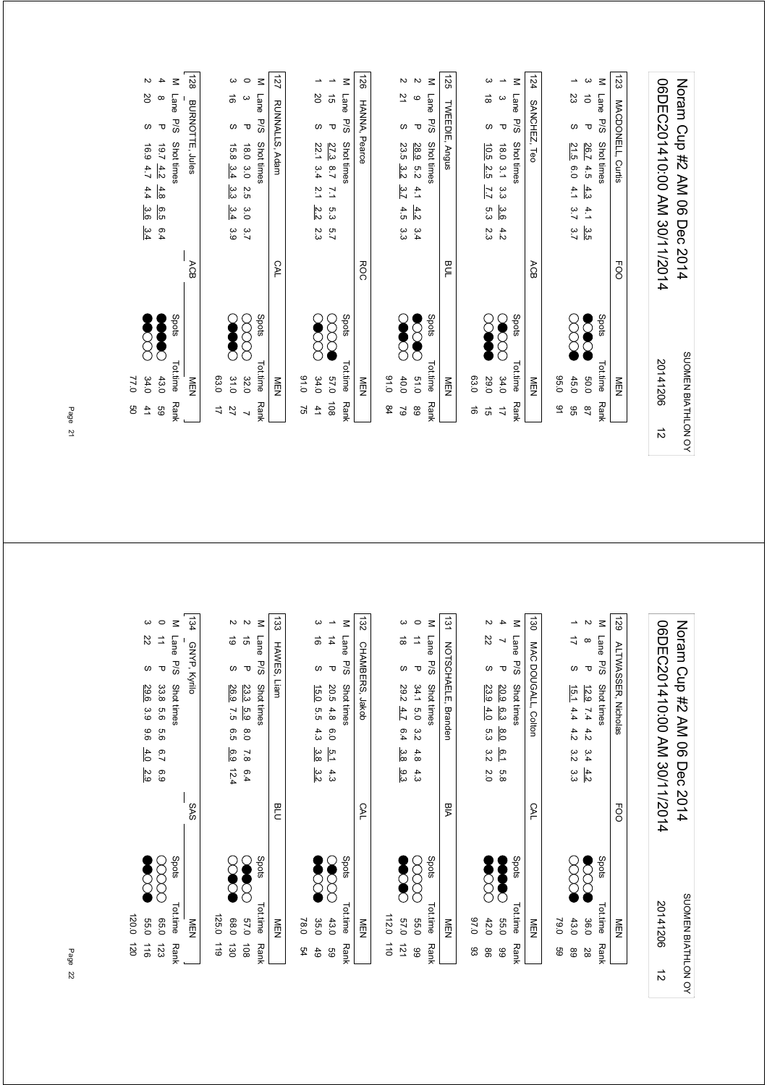|                    | g<br>41                  | 77.0<br>34.0 |       |            | 4.4<br>3.6<br>3.4                       | 6.9<br>4.7               | S                | 2Q                                     | $\sim$                   |
|--------------------|--------------------------|--------------|-------|------------|-----------------------------------------|--------------------------|------------------|----------------------------------------|--------------------------|
|                    | 9g                       | 43.0         |       |            | 4.8<br>დ.<br>ნ<br>6.4                   | $\sqrt{9.7}$<br>4.2      | $\mathbf \tau$   | $\infty$                               | 4                        |
|                    | <b>Rank</b>              | Tot.time     | Spots |            |                                         | Shot times               | <b>P/S</b>       | Lane                                   | $\leq$                   |
|                    |                          | NEN          |       | ACB        |                                         | <b>BURNOTTE, Jules</b>   |                  |                                        | 128                      |
|                    | ゴ                        | 03.0         |       |            |                                         |                          |                  |                                        |                          |
|                    | 27                       | 31.0         |       |            | ین<br>م<br>3.4<br>3.9                   | 15.8<br>3.4              | $\omega$         | ಹ                                      | ယ                        |
|                    | $\overline{\phantom{0}}$ | 32.0         |       |            | 2.5<br>Ω.O<br>3.7                       | 0.81<br>3.0              | τ                | ω                                      | $\circ$                  |
|                    | Rank                     | Tot.time     | Spots |            |                                         | Shot times               | <b>P/S</b>       | Lane                                   | $\leq$                   |
|                    |                          | NEN          |       | CAL        |                                         | RUNNALLS, Adam           |                  |                                        | 127                      |
|                    | 52                       | 0.10         |       |            |                                         |                          |                  |                                        |                          |
|                    | 41                       | 34.0         |       |            | $\overline{2}.1$<br>2.2<br>2.3          | 22.1<br>3.4              | $\omega$         | 2O                                     | ∸                        |
|                    | $\frac{108}{2}$          | 0'/9         |       |            | $\mathbb{Z}$<br>5.3<br>$\overline{5.7}$ | 27.3<br>$\overline{2.7}$ | $\mathbf \sigma$ | $\vec{5}$                              | ∸                        |
|                    | <b>Rank</b>              | Tot.time     | Spots |            |                                         | Shot times               | <b>P/S</b>       | Lane                                   | $\leq$                   |
|                    |                          | <b>NEN</b>   |       | <b>ROC</b> |                                         |                          | HANNA, Pearce    |                                        | 921                      |
|                    | \$4                      | 0.16         |       |            |                                         |                          |                  |                                        |                          |
|                    | $\mathcal{S}$            | 40.0         |       |            | 3.7<br>4.5<br>3.s                       | 23.5<br>$\frac{3}{2}$    | $\omega$         | 21                                     | $\sim$                   |
|                    | $^{\rm 63}$              | 51.0         |       |            | 4.1<br>4.2<br>3.4                       | 28.9<br>5.2              | $\mathbf \sigma$ | $\mathbf{\circ}$                       | $\sim$                   |
|                    | <b>Rank</b>              | Tot.time     | Spots |            |                                         | Shot times               | P/S              | Lane                                   | $\leq$                   |
|                    |                          | NEN          |       | Ρă         |                                         | Angus                    | TWEEDIE,         |                                        | 125                      |
|                    | ಹ                        | 03.0         |       |            |                                         |                          |                  |                                        |                          |
|                    | $\vec{5}$                | 29.0         |       |            | 7.7<br>5.3<br>2.3                       | ່ມີ<br>2.5               | $\omega$         | $\stackrel{\rightharpoonup }{\infty }$ | ω                        |
|                    | $\overrightarrow{L}$     | 34.0         |       |            | α<br>α<br>3.6<br>4.2                    | 0.81<br>$\frac{3}{7}$    | $\mathbf \sigma$ | $\omega$                               | $\overline{\phantom{0}}$ |
|                    | <b>Rank</b>              | Tot.time     | Spots |            |                                         | Shot times               | P/S              | Lane                                   | $\leq$                   |
|                    |                          | <b>MEN</b>   |       | ACB        |                                         | Leo                      | SANCHEZ,         |                                        | 124                      |
|                    | 51                       | 0.50         |       |            |                                         |                          |                  |                                        |                          |
|                    | 96                       | 45.0         |       |            | 4.1<br>3.7<br>3.7                       | 21.5<br>6.0              | w                | S                                      | →                        |
|                    | $^{28}$                  | 0.03         |       |            | 4.3<br>4.1<br>ပ္ပ                       | 26.7<br>$4.5$            | $\mathbf \tau$   | $\vec{\circ}$                          | ω                        |
|                    | <b>Rank</b>              | Tot.time     | Spots |            |                                         | Shot times               | P/S              | <b>Lane</b>                            | $\leq$                   |
|                    |                          | <b>MEN</b>   |       | FOO        |                                         | MACDONELL, Curtis        |                  |                                        | 123                      |
|                    |                          |              |       |            |                                         |                          |                  |                                        |                          |
| $\vec{v}$          |                          | 20141206     |       |            | 06DEC201410:00 AM 30/11/2014            |                          |                  |                                        |                          |
| SUOMEN BIATHLON OY |                          |              |       |            | Noran Cup #2 AM 06 Dec 2014             |                          |                  |                                        |                          |

| 120.0<br>039<br>$\overrightarrow{00}$<br>116 |                              | 2.9            | 4.0           | 9.6              | 29.6<br>3.9                | ഗ                | 22                       | ω               |
|----------------------------------------------|------------------------------|----------------|---------------|------------------|----------------------------|------------------|--------------------------|-----------------|
| 0.50<br>123                                  |                              | 6.9            | $2^{\circ}$   | 9.6              | 33.8<br>9.5                | $\mathbf \sigma$ | $\vec{=}$                | $\circ$         |
| Spots<br>Tot.time<br><b>Rank</b>             |                              |                |               |                  | Shot times                 | <b>P/S</b>       | Lane                     | $\leq$          |
| NEN                                          | SAS                          |                |               |                  |                            |                  | GNYP, Kyrilo             | 134             |
| 125.0<br>611                                 |                              |                |               |                  |                            |                  |                          |                 |
| 088<br>130                                   |                              | 12.4           | 6.9           | 6.5              | 26.9<br>7.5                | ဖ                | ಠ                        | N               |
| 0'/9<br>$\overline{8}$                       |                              | 6.4            | $\frac{7}{8}$ | $\frac{8}{0}$    | 23.3<br>5.9                | $\overline{U}$   | $\vec{q}$                | $\sim$          |
| Spots<br>Tot.time<br>Rank                    |                              |                |               |                  | Shot times                 | P/S              | Lane                     | $\leq$          |
| NEN                                          | PLD                          |                |               |                  | Liam                       |                  | HAWES,                   | $\overline{33}$ |
| 78.0<br>54                                   |                              |                |               |                  |                            |                  |                          |                 |
| 35.0<br>6 <sup>1</sup>                       |                              | 3.2            | 3.8           | 4.3              | <u>15.0</u><br>5.5         | w                | ಹ                        | ω               |
| 43.0<br>89                                   |                              | 4.3            | 5.1           | $\overline{0.0}$ | 20.5<br>4.8                | $\mathbf \sigma$ | 4                        | ∸               |
| Spots<br>Tot.time<br><b>Rank</b>             |                              |                |               |                  | Shot times                 | P/S              | Lane                     | $\leq$          |
| NEN                                          | CAL                          |                |               |                  | CHAMBERS, Jakob            |                  |                          | 132             |
| 112.0<br>$\vec{a}$                           |                              |                |               |                  |                            |                  |                          |                 |
| 0'/9<br>121                                  |                              | 9.3            | 3.8           | 6.4              | 282<br>4.7                 | ဖ                | $\vec{a}$                | ω               |
| <b>55.0</b><br>66                            |                              | 4.3            | 4.8           | 3.2              | 34.1<br>5.0                | $\mathbf \sigma$ | 二                        | $\circ$         |
| Spots<br>Tot.time<br><b>Rank</b>             |                              |                |               |                  | Shot times                 | P/S              | Lane                     | $\leq$          |
| NEN                                          | Мa                           |                |               |                  | NOTSCHAELE, Branden        |                  |                          | $\overline{31}$ |
| 0.76<br>83                                   |                              |                |               |                  |                            |                  |                          |                 |
| 42.0<br>8                                    |                              | $\overline{0}$ | 3.2           | 5.3              | 23.9<br>4.0                | w                | 22                       | N               |
| 0'99<br>8                                    |                              | 6.8            | 6.1           | $\frac{8.0}{8}$  | 20.9<br>6.3                | $\mathbf \tau$   | $\overline{\phantom{0}}$ | 4               |
| Spots<br>Tot.time<br><b>Rank</b>             |                              |                |               |                  | Shot times                 | P/S              | Lane                     | $\leq$          |
| NEN                                          | <b>CAL</b>                   |                |               |                  | MAC DOUGALL, Colton        |                  |                          | $\vec{a}$       |
| 0.67<br>င္မ                                  |                              |                |               |                  |                            |                  |                          |                 |
| 43.0<br>89                                   |                              | αã             | 3.2           | 4.2              | 15.1<br>4.4                | $\omega$         | ゴ                        | →               |
| 36.0<br>28                                   |                              | 4.2            | 3.4           | 4.2              | 12.9<br>7.4                | $\mathbf \tau$   | $\infty$                 | $\sim$          |
| Spots<br>Tot.time<br><b>Rank</b>             |                              |                |               |                  | Shot times                 | P/S              | Lane                     | $\leq$          |
| NEN                                          | FOO                          |                |               |                  | <b>ALTWASSER, Nicholas</b> |                  |                          | 621             |
|                                              |                              |                |               |                  |                            |                  |                          |                 |
| 20141206<br>$\vec{v}$                        | 06DEC201410:00 AM 30/11/2014 |                |               |                  |                            |                  |                          |                 |
| SUOMEN BIATHLON OY                           | 2014                         | Dec            |               |                  | Nomm Cup #2 AM 06          |                  |                          |                 |
|                                              |                              |                |               |                  |                            |                  |                          |                 |